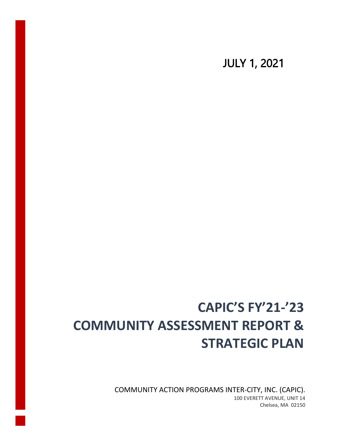JULY 1, 2021

# **CAPIC'S FY'21-'23 COMMUNITY ASSESSMENT REPORT & STRATEGIC PLAN**

COMMUNITY ACTION PROGRAMS INTER-CITY, INC. (CAPIC). 100 EVERETT AVENUE, UNIT 14 Chelsea, MA 02150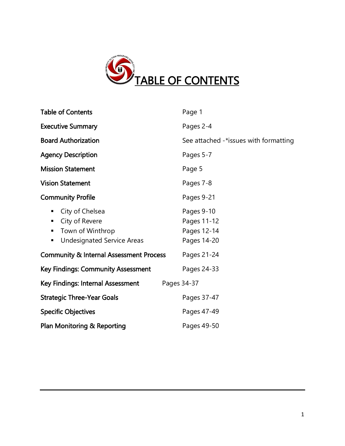

| <b>Table of Contents</b>                                                                                       | Page 1                                                  |
|----------------------------------------------------------------------------------------------------------------|---------------------------------------------------------|
| <b>Executive Summary</b>                                                                                       | Pages 2-4                                               |
| <b>Board Authorization</b>                                                                                     | See attached -*issues with formatting                   |
| <b>Agency Description</b>                                                                                      | Pages 5-7                                               |
| <b>Mission Statement</b>                                                                                       | Page 5                                                  |
| <b>Vision Statement</b>                                                                                        | Pages 7-8                                               |
| <b>Community Profile</b>                                                                                       | Pages 9-21                                              |
| City of Chelsea<br>ш<br>City of Revere<br>п<br>Town of Winthrop<br>٠<br><b>Undesignated Service Areas</b><br>٠ | Pages 9-10<br>Pages 11-12<br>Pages 12-14<br>Pages 14-20 |
| <b>Community &amp; Internal Assessment Process</b>                                                             | Pages 21-24                                             |
| <b>Key Findings: Community Assessment</b>                                                                      | Pages 24-33                                             |
| Key Findings: Internal Assessment<br>Pages 34-37                                                               |                                                         |
| <b>Strategic Three-Year Goals</b>                                                                              | Pages 37-47                                             |
| <b>Specific Objectives</b>                                                                                     | Pages 47-49                                             |
| Plan Monitoring & Reporting                                                                                    | Pages 49-50                                             |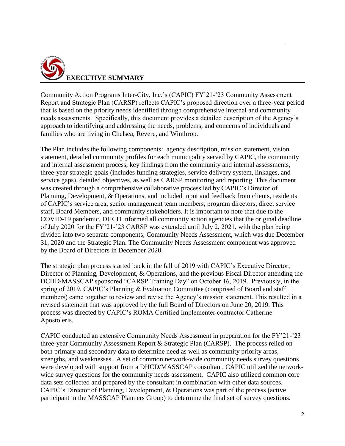

Community Action Programs Inter-City, Inc.'s (CAPIC) FY'21-'23 Community Assessment Report and Strategic Plan (CARSP) reflects CAPIC's proposed direction over a three-year period that is based on the priority needs identified through comprehensive internal and community needs assessments. Specifically, this document provides a detailed description of the Agency's approach to identifying and addressing the needs, problems, and concerns of individuals and families who are living in Chelsea, Revere, and Winthrop.

The Plan includes the following components: agency description, mission statement, vision statement, detailed community profiles for each municipality served by CAPIC, the community and internal assessment process, key findings from the community and internal assessments, three-year strategic goals (includes funding strategies, service delivery system, linkages, and service gaps), detailed objectives, as well as CARSP monitoring and reporting. This document was created through a comprehensive collaborative process led by CAPIC's Director of Planning, Development, & Operations, and included input and feedback from clients, residents of CAPIC's service area, senior management team members, program directors, direct service staff, Board Members, and community stakeholders. It is important to note that due to the COVID-19 pandemic, DHCD informed all community action agencies that the original deadline of July 2020 for the FY'21-'23 CARSP was extended until July 2, 2021, with the plan being divided into two separate components; Community Needs Assessment, which was due December 31, 2020 and the Strategic Plan. The Community Needs Assessment component was approved by the Board of Directors in December 2020.

The strategic plan process started back in the fall of 2019 with CAPIC's Executive Director, Director of Planning, Development, & Operations, and the previous Fiscal Director attending the DCHD/MASSCAP sponsored "CARSP Training Day" on October 16, 2019. Previously, in the spring of 2019, CAPIC's Planning & Evaluation Committee (comprised of Board and staff members) came together to review and revise the Agency's mission statement. This resulted in a revised statement that was approved by the full Board of Directors on June 20, 2019. This process was directed by CAPIC's ROMA Certified Implementer contractor Catherine Apostoleris.

CAPIC conducted an extensive Community Needs Assessment in preparation for the FY'21-'23 three-year Community Assessment Report & Strategic Plan (CARSP). The process relied on both primary and secondary data to determine need as well as community priority areas, strengths, and weaknesses. A set of common network-wide community needs survey questions were developed with support from a DHCD/MASSCAP consultant. CAPIC utilized the networkwide survey questions for the community needs assessment. CAPIC also utilized common core data sets collected and prepared by the consultant in combination with other data sources. CAPIC's Director of Planning, Development, & Operations was part of the process (active participant in the MASSCAP Planners Group) to determine the final set of survey questions.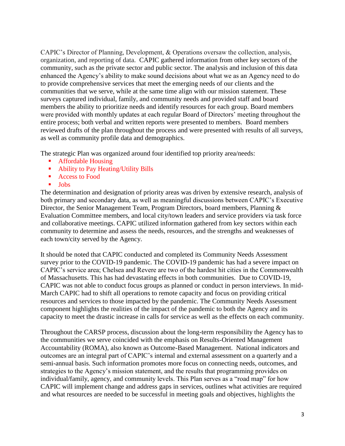CAPIC's Director of Planning, Development, & Operations oversaw the collection, analysis, organization, and reporting of data. CAPIC gathered information from other key sectors of the community, such as the private sector and public sector. The analysis and inclusion of this data enhanced the Agency's ability to make sound decisions about what we as an Agency need to do to provide comprehensive services that meet the emerging needs of our clients and the communities that we serve, while at the same time align with our mission statement. These surveys captured individual, family, and community needs and provided staff and board members the ability to prioritize needs and identify resources for each group. Board members were provided with monthly updates at each regular Board of Directors' meeting throughout the entire process; both verbal and written reports were presented to members. Board members reviewed drafts of the plan throughout the process and were presented with results of all surveys, as well as community profile data and demographics.

The strategic Plan was organized around four identified top priority area/needs:

- Affordable Housing
- Ability to Pay Heating/Utility Bills
- Access to Food
- **Jobs**

The determination and designation of priority areas was driven by extensive research, analysis of both primary and secondary data, as well as meaningful discussions between CAPIC's Executive Director, the Senior Management Team, Program Directors, board members, Planning & Evaluation Committee members, and local city/town leaders and service providers via task force and collaborative meetings. CAPIC utilized information gathered from key sectors within each community to determine and assess the needs, resources, and the strengths and weaknesses of each town/city served by the Agency.

It should be noted that CAPIC conducted and completed its Community Needs Assessment survey prior to the COVID-19 pandemic. The COVID-19 pandemic has had a severe impact on CAPIC's service area; Chelsea and Revere are two of the hardest hit cities in the Commonwealth of Massachusetts. This has had devastating effects in both communities. Due to COVID-19, CAPIC was not able to conduct focus groups as planned or conduct in person interviews. In mid-March CAPIC had to shift all operations to remote capacity and focus on providing critical resources and services to those impacted by the pandemic. The Community Needs Assessment component highlights the realities of the impact of the pandemic to both the Agency and its capacity to meet the drastic increase in calls for service as well as the effects on each community.

Throughout the CARSP process, discussion about the long-term responsibility the Agency has to the communities we serve coincided with the emphasis on Results-Oriented Management Accountability (ROMA), also known as Outcome-Based Management. National indicators and outcomes are an integral part of CAPIC's internal and external assessment on a quarterly and a semi-annual basis. Such information promotes more focus on connecting needs, outcomes, and strategies to the Agency's mission statement, and the results that programming provides on individual/family, agency, and community levels. This Plan serves as a "road map" for how CAPIC will implement change and address gaps in services, outlines what activities are required and what resources are needed to be successful in meeting goals and objectives, highlights the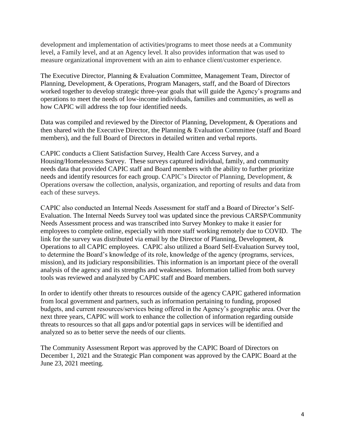development and implementation of activities/programs to meet those needs at a Community level, a Family level, and at an Agency level. It also provides information that was used to measure organizational improvement with an aim to enhance client/customer experience.

The Executive Director, Planning & Evaluation Committee, Management Team, Director of Planning, Development, & Operations, Program Managers, staff, and the Board of Directors worked together to develop strategic three-year goals that will guide the Agency's programs and operations to meet the needs of low-income individuals, families and communities, as well as how CAPIC will address the top four identified needs.

Data was compiled and reviewed by the Director of Planning, Development, & Operations and then shared with the Executive Director, the Planning & Evaluation Committee (staff and Board members), and the full Board of Directors in detailed written and verbal reports.

CAPIC conducts a Client Satisfaction Survey, Health Care Access Survey, and a Housing/Homelessness Survey. These surveys captured individual, family, and community needs data that provided CAPIC staff and Board members with the ability to further prioritize needs and identify resources for each group. CAPIC's Director of Planning, Development, & Operations oversaw the collection, analysis, organization, and reporting of results and data from each of these surveys.

CAPIC also conducted an Internal Needs Assessment for staff and a Board of Director's Self-Evaluation. The Internal Needs Survey tool was updated since the previous CARSP/Community Needs Assessment process and was transcribed into Survey Monkey to make it easier for employees to complete online, especially with more staff working remotely due to COVID. The link for the survey was distributed via email by the Director of Planning, Development, & Operations to all CAPIC employees. CAPIC also utilized a Board Self-Evaluation Survey tool, to determine the Board's knowledge of its role, knowledge of the agency (programs, services, mission), and its judiciary responsibilities. This information is an important piece of the overall analysis of the agency and its strengths and weaknesses. Information tallied from both survey tools was reviewed and analyzed by CAPIC staff and Board members.

In order to identify other threats to resources outside of the agency CAPIC gathered information from local government and partners, such as information pertaining to funding, proposed budgets, and current resources/services being offered in the Agency's geographic area. Over the next three years, CAPIC will work to enhance the collection of information regarding outside threats to resources so that all gaps and/or potential gaps in services will be identified and analyzed so as to better serve the needs of our clients.

The Community Assessment Report was approved by the CAPIC Board of Directors on December 1, 2021 and the Strategic Plan component was approved by the CAPIC Board at the June 23, 2021 meeting.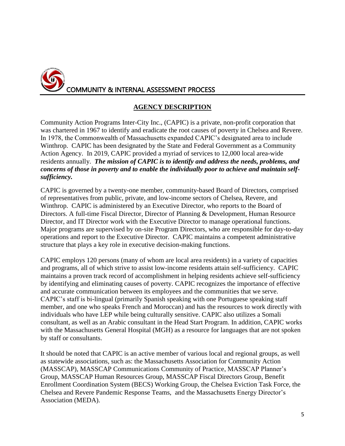

## **AGENCY DESCRIPTION**

Community Action Programs Inter-City Inc., (CAPIC) is a private, non-profit corporation that was chartered in 1967 to identify and eradicate the root causes of poverty in Chelsea and Revere. In 1978, the Commonwealth of Massachusetts expanded CAPIC's designated area to include Winthrop. CAPIC has been designated by the State and Federal Government as a Community Action Agency. In 2019, CAPIC provided a myriad of services to 12,000 local area-wide residents annually. *The mission of CAPIC is to identify and address the needs, problems, and concerns of those in poverty and to enable the individually poor to achieve and maintain selfsufficiency.* 

CAPIC is governed by a twenty-one member, community-based Board of Directors, comprised of representatives from public, private, and low-income sectors of Chelsea, Revere, and Winthrop. CAPIC is administered by an Executive Director, who reports to the Board of Directors. A full-time Fiscal Director, Director of Planning & Development, Human Resource Director, and IT Director work with the Executive Director to manage operational functions. Major programs are supervised by on-site Program Directors, who are responsible for day-to-day operations and report to the Executive Director. CAPIC maintains a competent administrative structure that plays a key role in executive decision-making functions.

CAPIC employs 120 persons (many of whom are local area residents) in a variety of capacities and programs, all of which strive to assist low-income residents attain self-sufficiency. CAPIC maintains a proven track record of accomplishment in helping residents achieve self-sufficiency by identifying and eliminating causes of poverty. CAPIC recognizes the importance of effective and accurate communication between its employees and the communities that we serve. CAPIC's staff is bi-lingual (primarily Spanish speaking with one Portuguese speaking staff member, and one who speaks French and Moroccan) and has the resources to work directly with individuals who have LEP while being culturally sensitive. CAPIC also utilizes a Somali consultant, as well as an Arabic consultant in the Head Start Program. In addition, CAPIC works with the Massachusetts General Hospital (MGH) as a resource for languages that are not spoken by staff or consultants.

It should be noted that CAPIC is an active member of various local and regional groups, as well as statewide associations, such as: the Massachusetts Association for Community Action (MASSCAP), MASSCAP Communications Community of Practice, MASSCAP Planner's Group, MASSCAP Human Resources Group, MASSCAP Fiscal Directors Group, Benefit Enrollment Coordination System (BECS) Working Group, the Chelsea Eviction Task Force, the Chelsea and Revere Pandemic Response Teams, and the Massachusetts Energy Director's Association (MEDA).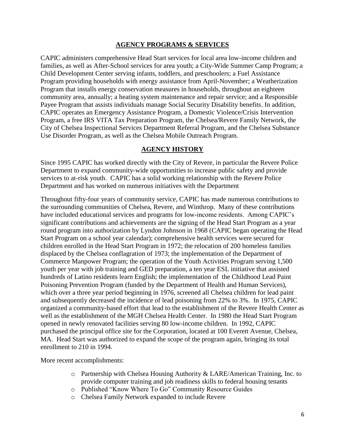#### **AGENCY PROGRAMS & SERVICES**

CAPIC administers comprehensive Head Start services for local area low-income children and families, as well as After-School services for area youth; a City-Wide Summer Camp Program; a Child Development Center serving infants, toddlers, and preschoolers; a Fuel Assistance Program providing households with energy assistance from April-November; a Weatherization Program that installs energy conservation measures in households, throughout an eighteen community area, annually; a heating system maintenance and repair service; and a Responsible Payee Program that assists individuals manage Social Security Disability benefits. In addition, CAPIC operates an Emergency Assistance Program, a Domestic Violence/Crisis Intervention Program, a free IRS VITA Tax Preparation Program, the Chelsea/Revere Family Network, the City of Chelsea Inspectional Services Department Referral Program, and the Chelsea Substance Use Disorder Program, as well as the Chelsea Mobile Outreach Program.

#### **AGENCY HISTORY**

Since 1995 CAPIC has worked directly with the City of Revere, in particular the Revere Police Department to expand community-wide opportunities to increase public safety and provide services to at-risk youth. CAPIC has a solid working relationship with the Revere Police Department and has worked on numerous initiatives with the Department

Throughout fifty-four years of community service, CAPIC has made numerous contributions to the surrounding communities of Chelsea, Revere, and Winthrop. Many of these contributions have included educational services and programs for low-income residents. Among CAPIC's significant contributions and achievements are the signing of the Head Start Program as a year round program into authorization by Lyndon Johnson in 1968 (CAPIC began operating the Head Start Program on a school year calendar); comprehensive health services were secured for children enrolled in the Head Start Program in 1972; the relocation of 200 homeless families displaced by the Chelsea conflagration of 1973; the implementation of the Department of Commerce Manpower Program; the operation of the Youth Activities Program serving 1,500 youth per year with job training and GED preparation, a ten year ESL initiative that assisted hundreds of Latino residents learn English; the implementation of the Childhood Lead Paint Poisoning Prevention Program (funded by the Department of Health and Human Services), which over a three year period beginning in 1976, screened all Chelsea children for lead paint and subsequently decreased the incidence of lead poisoning from 22% to 3%. In 1975, CAPIC organized a community-based effort that lead to the establishment of the Revere Health Center as well as the establishment of the MGH Chelsea Health Center. In 1980 the Head Start Program opened in newly renovated facilities serving 80 low-income children. In 1992, CAPIC purchased the principal office site for the Corporation, located at 100 Everett Avenue, Chelsea, MA. Head Start was authorized to expand the scope of the program again, bringing its total enrollment to 210 in 1994.

More recent accomplishments:

- o Partnership with Chelsea Housing Authority & LARE/American Training, Inc. to provide computer training and job readiness skills to federal housing tenants
- o Published "Know Where To Go" Community Resource Guides
- o Chelsea Family Network expanded to include Revere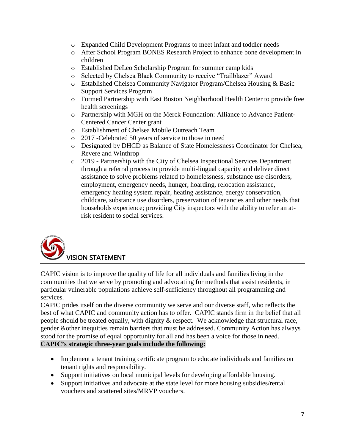- o Expanded Child Development Programs to meet infant and toddler needs
- o After School Program BONES Research Project to enhance bone development in children
- o Established DeLeo Scholarship Program for summer camp kids
- o Selected by Chelsea Black Community to receive "Trailblazer" Award
- o Established Chelsea Community Navigator Program/Chelsea Housing & Basic Support Services Program
- o Formed Partnership with East Boston Neighborhood Health Center to provide free health screenings
- o Partnership with MGH on the Merck Foundation: Alliance to Advance Patient-Centered Cancer Center grant
- o Establishment of Chelsea Mobile Outreach Team
- o 2017 -Celebrated 50 years of service to those in need
- o Designated by DHCD as Balance of State Homelessness Coordinator for Chelsea, Revere and Winthrop
- o 2019 Partnership with the City of Chelsea Inspectional Services Department through a referral process to provide multi-lingual capacity and deliver direct assistance to solve problems related to homelessness, substance use disorders, employment, emergency needs, hunger, hoarding, relocation assistance, emergency heating system repair, heating assistance, energy conservation, childcare, substance use disorders, preservation of tenancies and other needs that households experience; providing City inspectors with the ability to refer an atrisk resident to social services.



CAPIC vision is to improve the quality of life for all individuals and families living in the communities that we serve by promoting and advocating for methods that assist residents, in particular vulnerable populations achieve self-sufficiency throughout all programming and services.

CAPIC prides itself on the diverse community we serve and our diverse staff, who reflects the best of what CAPIC and community action has to offer. CAPIC stands firm in the belief that all people should be treated equally, with dignity & respect. We acknowledge that structural race, gender &other inequities remain barriers that must be addressed. Community Action has always stood for the promise of equal opportunity for all and has been a voice for those in need. **CAPIC's strategic three-year goals include the following:**

- Implement a tenant training certificate program to educate individuals and families on tenant rights and responsibility.
- Support initiatives on local municipal levels for developing affordable housing.
- Support initiatives and advocate at the state level for more housing subsidies/rental vouchers and scattered sites/MRVP vouchers.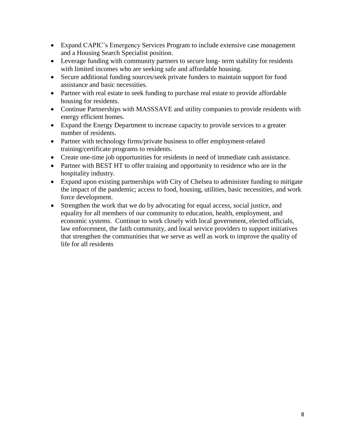- Expand CAPIC's Emergency Services Program to include extensive case management and a Housing Search Specialist position.
- Leverage funding with community partners to secure long- term stability for residents with limited incomes who are seeking safe and affordable housing.
- Secure additional funding sources/seek private funders to maintain support for food assistance and basic necessities.
- Partner with real estate to seek funding to purchase real estate to provide affordable housing for residents.
- Continue Partnerships with MASSSAVE and utility companies to provide residents with energy efficient homes.
- Expand the Energy Department to increase capacity to provide services to a greater number of residents.
- Partner with technology firms/private business to offer employment-related training/certificate programs to residents.
- Create one-time job opportunities for residents in need of immediate cash assistance.
- Partner with BEST HT to offer training and opportunity to residence who are in the hospitality industry.
- Expand upon existing partnerships with City of Chelsea to administer funding to mitigate the impact of the pandemic; access to food, housing, utilities, basic necessities, and work force development.
- Strengthen the work that we do by advocating for equal access, social justice, and equality for all members of our community to education, health, employment, and economic systems. Continue to work closely with local government, elected officials, law enforcement, the faith community, and local service providers to support initiatives that strengthen the communities that we serve as well as work to improve the quality of life for all residents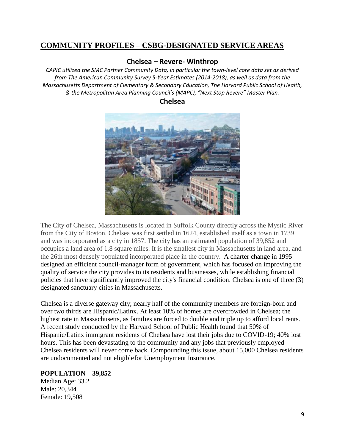# **COMMUNITY PROFILES – CSBG-DESIGNATED SERVICE AREAS**

#### **Chelsea – Revere- Winthrop**

*CAPIC utilized the SMC Partner Community Data, in particular the town-level core data set as derived from The American Community Survey 5-Year Estimates (2014-2018), as well as data from the Massachusetts Department of Elementary & Secondary Education, The Harvard Public School of Health, & the Metropolitan Area Planning Council's (MAPC), "Next Stop Revere" Master Plan.*

## **Chelsea**



The City of Chelsea, Massachusetts is located in Suffolk County directly across the Mystic River from the City of Boston. Chelsea was first settled in 1624, established itself as a town in 1739 and was incorporated as a city in 1857. The city has an estimated population of 39,852 and occupies a land area of 1.8 square miles. It is the smallest city in Massachusetts in land area, and the 26th most densely populated incorporated place in the country. A charter change in 1995 designed an efficient council-manager form of government, which has focused on improving the quality of service the city provides to its residents and businesses, while establishing financial policies that have significantly improved the city's financial condition. Chelsea is one of three (3) designated sanctuary cities in Massachusetts.

Chelsea is a diverse gateway city; nearly half of the community members are foreign-born and over two thirds are Hispanic/Latinx. At least 10% of homes are overcrowded in Chelsea; the highest rate in Massachusetts, as families are forced to double and triple up to afford local rents. A recent study conducted by the Harvard School of Public Health found that 50% of Hispanic/Latinx immigrant residents of Chelsea have lost their jobs due to COVID-19; 40% lost hours. This has been devastating to the community and any jobs that previously employed Chelsea residents will never come back. Compounding this issue, about 15,000 Chelsea residents are undocumented and not eligiblefor Unemployment Insurance.

#### **POPULATION – 39,852**

Median Age: 33.2 Male: 20,344 Female: 19,508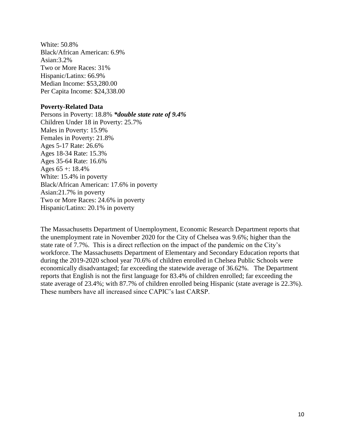White: 50.8% Black/African American: 6.9% Asian:3.2% Two or More Races: 31% Hispanic/Latinx: 66.9% Median Income: \$53,280.00 Per Capita Income: \$24,338.00

#### **Poverty-Related Data**

Persons in Poverty: 18.8% *\*double state rate of 9.4%* Children Under 18 in Poverty: 25.7% Males in Poverty: 15.9% Females in Poverty: 21.8% Ages 5-17 Rate: 26.6% Ages 18-34 Rate: 15.3% Ages 35-64 Rate: 16.6% Ages  $65 + 18.4\%$ White: 15.4% in poverty Black/African American: 17.6% in poverty Asian:21.7% in poverty Two or More Races: 24.6% in poverty Hispanic/Latinx: 20.1% in poverty

The Massachusetts Department of Unemployment, Economic Research Department reports that the unemployment rate in November 2020 for the City of Chelsea was 9.6%; higher than the state rate of 7.7%. This is a direct reflection on the impact of the pandemic on the City's workforce. The Massachusetts Department of Elementary and Secondary Education reports that during the 2019-2020 school year 70.6% of children enrolled in Chelsea Public Schools were economically disadvantaged; far exceeding the statewide average of 36.62%. The Department reports that English is not the first language for 83.4% of children enrolled; far exceeding the state average of 23.4%; with 87.7% of children enrolled being Hispanic (state average is 22.3%). These numbers have all increased since CAPIC's last CARSP.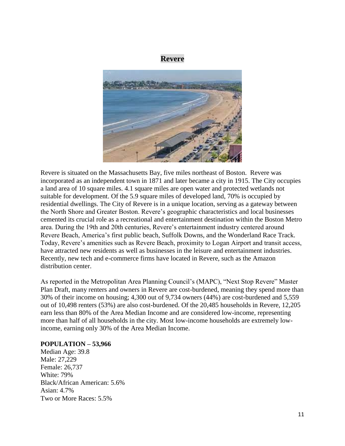## **Revere**



Revere is situated on the Massachusetts Bay, five miles northeast of Boston. Revere was incorporated as an independent town in 1871 and later became a city in 1915. The City occupies a land area of 10 square miles. 4.1 square miles are open water and protected wetlands not suitable for development. Of the 5.9 square miles of developed land, 70% is occupied by residential dwellings. The City of Revere is in a unique location, serving as a gateway between the North Shore and Greater Boston. Revere's geographic characteristics and local businesses cemented its crucial role as a recreational and entertainment destination within the Boston Metro area. During the 19th and 20th centuries, Revere's entertainment industry centered around Revere Beach, America's first public beach, Suffolk Downs, and the Wonderland Race Track. Today, Revere's amenities such as Revere Beach, proximity to Logan Airport and transit access, have attracted new residents as well as businesses in the leisure and entertainment industries. Recently, new tech and e-commerce firms have located in Revere, such as the Amazon distribution center.

As reported in the Metropolitan Area Planning Council's (MAPC), "Next Stop Revere" Master Plan Draft, many renters and owners in Revere are cost-burdened, meaning they spend more than 30% of their income on housing; 4,300 out of 9,734 owners (44%) are cost-burdened and 5,559 out of 10,498 renters (53%) are also cost-burdened. Of the 20,485 households in Revere, 12,205 earn less than 80% of the Area Median Income and are considered low-income, representing more than half of all households in the city. Most low-income households are extremely lowincome, earning only 30% of the Area Median Income.

#### **POPULATION – 53,966**

Median Age: 39.8 Male: 27,229 Female: 26,737 White: 79% Black/African American: 5.6% Asian: 4.7% Two or More Races: 5.5%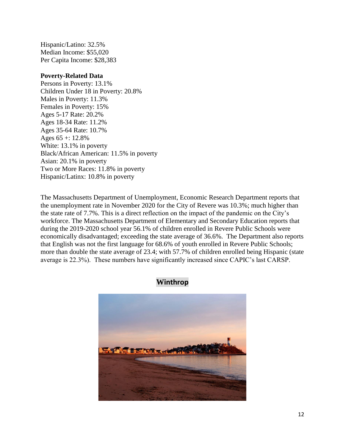Hispanic/Latino: 32.5% Median Income: \$55,020 Per Capita Income: \$28,383

#### **Poverty-Related Data**

Persons in Poverty: 13.1% Children Under 18 in Poverty: 20.8% Males in Poverty: 11.3% Females in Poverty: 15% Ages 5-17 Rate: 20.2% Ages 18-34 Rate: 11.2% Ages 35-64 Rate: 10.7% Ages  $65 + 12.8\%$ White: 13.1% in poverty Black/African American: 11.5% in poverty Asian: 20.1% in poverty Two or More Races: 11.8% in poverty Hispanic/Latinx: 10.8% in poverty

The Massachusetts Department of Unemployment, Economic Research Department reports that the unemployment rate in November 2020 for the City of Revere was 10.3%; much higher than the state rate of 7.7%. This is a direct reflection on the impact of the pandemic on the City's workforce. The Massachusetts Department of Elementary and Secondary Education reports that during the 2019-2020 school year 56.1% of children enrolled in Revere Public Schools were economically disadvantaged; exceeding the state average of 36.6%. The Department also reports that English was not the first language for 68.6% of youth enrolled in Revere Public Schools; more than double the state average of 23.4; with 57.7% of children enrolled being Hispanic (state average is 22.3%). These numbers have significantly increased since CAPIC's last CARSP.



**Winthrop**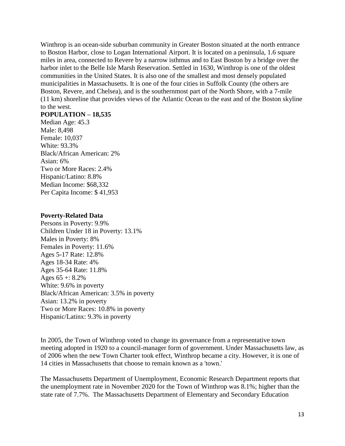Winthrop is an ocean-side suburban community in Greater Boston situated at the north entrance to Boston Harbor, close to Logan International Airport. It is located on a peninsula, 1.6 square miles in area, connected to Revere by a narrow isthmus and to East Boston by a bridge over the harbor inlet to the Belle Isle Marsh Reservation. Settled in 1630, Winthrop is one of the oldest communities in the United States. It is also one of the smallest and most densely populated municipalities in Massachusetts. It is one of the four cities in Suffolk County (the others are Boston, Revere, and Chelsea), and is the southernmost part of the North Shore, with a 7-mile (11 km) shoreline that provides views of the Atlantic Ocean to the east and of the Boston skyline to the west.

#### **POPULATION – 18,535**

Median Age: 45.3 Male: 8,498 Female: 10,037 White: 93.3% Black/African American: 2% Asian: 6% Two or More Races: 2.4% Hispanic/Latino: 8.8% Median Income: \$68,332 Per Capita Income: \$ 41,953

#### **Poverty-Related Data**

Persons in Poverty: 9.9% Children Under 18 in Poverty: 13.1% Males in Poverty: 8% Females in Poverty: 11.6% Ages 5-17 Rate: 12.8% Ages 18-34 Rate: 4% Ages 35-64 Rate: 11.8% Ages  $65 + 8.2\%$ White: 9.6% in poverty Black/African American: 3.5% in poverty Asian: 13.2% in poverty Two or More Races: 10.8% in poverty Hispanic/Latinx: 9.3% in poverty

In 2005, the Town of Winthrop voted to change its governance from a representative town meeting adopted in 1920 to a council-manager form of government. Under Massachusetts law, as of 2006 when the new Town Charter took effect, Winthrop became a city. However, it is one of 14 cities in Massachusetts that choose to remain known as a 'town.'

The Massachusetts Department of Unemployment, Economic Research Department reports that the unemployment rate in November 2020 for the Town of Winthrop was 8.1%; higher than the state rate of 7.7%. The Massachusetts Department of Elementary and Secondary Education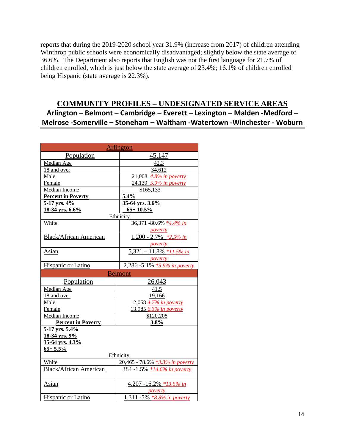reports that during the 2019-2020 school year 31.9% (increase from 2017) of children attending Winthrop public schools were economically disadvantaged; slightly below the state average of 36.6%. The Department also reports that English was not the first language for 21.7% of children enrolled, which is just below the state average of 23.4%; 16.1% of children enrolled being Hispanic (state average is 22.3%).

# **COMMUNITY PROFILES – UNDESIGNATED SERVICE AREAS Arlington – Belmont – Cambridge – Everett – Lexington – Malden -Medford – Melrose -Somerville – Stoneham – Waltham -Watertown -Winchester - Woburn**

| <b>Arlington</b>              |                                   |  |
|-------------------------------|-----------------------------------|--|
| Population                    | 45,147                            |  |
| Median Age                    | 42.3                              |  |
| 18 and over                   | 34,612                            |  |
| Male                          | 21,008 4.8% in poverty            |  |
| Female                        | 24,139 5.9% in poverty            |  |
| Median Income                 | \$165,133                         |  |
| <b>Percent in Poverty</b>     | 5.4%                              |  |
| 5-17 yrs. 4%                  | 35-64 yrs. 3.6%                   |  |
| 18-34 yrs. 6.6%               | $65 + 10.5\%$                     |  |
|                               | Ethnicity                         |  |
| White                         | 36,371 -80.6% *4.4% in            |  |
|                               | poverty                           |  |
| <b>Black/African American</b> | $1,200 - 2.7\%$ *2.5% in          |  |
|                               | poverty                           |  |
| Asian                         | $5,321 - 11.8\%$ *11.5% in        |  |
|                               | poverty                           |  |
| Hispanic or Latino            | 2,286 -5.1% *5.9% in poverty      |  |
|                               | <b>Belmont</b>                    |  |
| Population                    | 26,043                            |  |
| Median Age                    | 41.5                              |  |
| 18 and over                   | 19,166                            |  |
| Male                          | 12,058 4.7% in poverty            |  |
| Female                        | 13,985 6.3% in poverty            |  |
| Median Income                 | \$120,208                         |  |
| <b>Percent in Poverty</b>     | 3.8%                              |  |
| 5-17 yrs. 5.4%                |                                   |  |
| 18-34 yrs. 9%                 |                                   |  |
| 35-64 yrs. 4.3%               |                                   |  |
| $65 + 5.5\%$                  |                                   |  |
|                               |                                   |  |
|                               | Ethnicity                         |  |
| White                         | 20,465 - 78.6% *3.3% in poverty   |  |
| <b>Black/African American</b> | 384 -1.5% *14.6% in poverty       |  |
|                               |                                   |  |
| Asian                         | 4,207 -16.2% *13.5% in<br>poverty |  |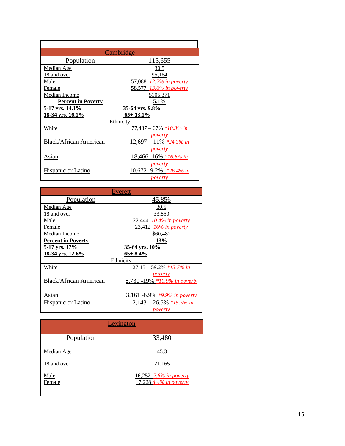|                           | Cambridge                  |  |
|---------------------------|----------------------------|--|
| Population                | 115,655                    |  |
| Median Age                | 30.5                       |  |
| <u>18 and over</u>        | <u>95,164</u>              |  |
| Male                      | 57,088 12.2% in poverty    |  |
| Female                    | 58,577 13.6% in poverty    |  |
| <b>Median Income</b>      | \$105,371                  |  |
| <b>Percent in Poverty</b> | 5.1%                       |  |
| <u>5-17 yrs. 14.1%</u>    | 35-64 yrs. 9.8%            |  |
| 18-34 yrs. 16.1%          | $65+13.1\%$                |  |
| Ethnicity                 |                            |  |
| White                     | $77,487 - 67\% *10.3\%$ in |  |
|                           | <i>poverty</i>             |  |
| Black/African American    | $12,697 - 11\%$ *24.3% in  |  |
|                           | <i>poverty</i>             |  |
| Asian                     | 18,466 -16% *16.6% in      |  |
|                           | <i>poverty</i>             |  |
| Hispanic or Latino        | 10,672 -9.2% $*26.4\%$ in  |  |
|                           | <i>poverty</i>             |  |

| Everett                       |                                          |
|-------------------------------|------------------------------------------|
| Population                    | 45,856                                   |
| Median Age                    | 30.5                                     |
| 18 and over                   | 33,850                                   |
| Male                          | 22,444 10.4% in poverty                  |
| Female                        | 23,412 16% in poverty                    |
| Median Income                 | \$60,482                                 |
| <b>Percent in Poverty</b>     | <b>13%</b>                               |
| 5-17 yrs. 17%                 | 35-64 yrs. 10%                           |
| 18-34 yrs. 12.6%              | $65+8.4\%$                               |
|                               | Ethnicity                                |
| White                         | $27,15 - 59.2\%$ *13.7% in               |
|                               | poverty                                  |
| <b>Black/African American</b> | 8,730 -19% *10.9% in poverty             |
|                               |                                          |
| Asian                         | 3,161 -6.9% *9.9% in poverty             |
| Hispanic or Latino            | $12,143 - \underline{26.5\% *15.5\% in}$ |
|                               | <u>poverty</u>                           |

| Lexington      |                                                  |  |
|----------------|--------------------------------------------------|--|
| Population     | 33,480                                           |  |
| Median Age     | <u>45.3</u>                                      |  |
| 18 and over    | 21,165                                           |  |
| Male<br>Female | 16,252 2.8% in poverty<br>17,228 4.4% in poverty |  |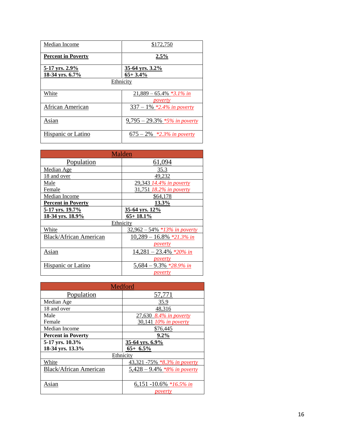| Median Income                     | \$172,750                             |  |
|-----------------------------------|---------------------------------------|--|
| <b>Percent in Poverty</b>         | 2.5%                                  |  |
| 5-17 yrs. 2.9%<br>18-34 yrs. 6.7% | 35-64 yrs. $3.2\%$<br>$65+3.4%$       |  |
| Ethnicity                         |                                       |  |
| White                             | $21,889 - 65.4\%$ *3.1% in<br>poverty |  |
| African American                  | $337 - 1\%$ *2.4% in poverty          |  |
| Asian                             | $9,795 - 29.3\%$ *5% in poverty       |  |
| Hispanic or Latino                | $675 - 2\%$ *2.3% in poverty          |  |

| Malden                    |                                 |  |
|---------------------------|---------------------------------|--|
| Population                | 61,094                          |  |
| Median Age                | 35.3                            |  |
| 18 and over               | 49,232                          |  |
| Male                      | 29,343 14.4% in poverty         |  |
| Female                    | 31,751 18.2% in poverty         |  |
| Median Income             | \$64,178                        |  |
| <b>Percent in Poverty</b> | 13.3%                           |  |
| 5-17 yrs. 19.7%           | 35-64 yrs. 12%                  |  |
| 18-34 vrs. 18.9%          | $65 + 18.1\%$                   |  |
| Ethnicity                 |                                 |  |
| White                     | $32,962 - 54\%$ *13% in poverty |  |
| Black/African American    | $10,289 - 16.8\%$ *21.3% in     |  |
|                           | <i>poverty</i>                  |  |
| Asian                     | $14,281 - 23.4\%$ *20% in       |  |
|                           | poverty                         |  |
| Hispanic or Latino        | 5,684 – 9.3% *28.9% in          |  |
|                           | poverty                         |  |

| Medford                       |                                |
|-------------------------------|--------------------------------|
| Population                    | 57,771                         |
| Median Age                    | 35.9                           |
| 18 and over                   | 48,316                         |
| Male                          | 27,630 8.4% in poverty         |
| Female                        | 30,141 10% in poverty          |
| Median Income                 | \$76,445                       |
| <b>Percent in Poverty</b>     | $9.2\%$                        |
| 5-17 yrs. 10.3%               | 35-64 yrs. 6.9%                |
| 18-34 yrs. 13.3%              | $65+ 6.5\%$                    |
| Ethnicity                     |                                |
| White                         | 43,321 -75% *8.3% in poverty   |
| <b>Black/African American</b> | 5,428 – 9.4% $*8\%$ in poverty |
|                               |                                |
| Asian                         | 6,151 -10.6% *16.5% in         |
|                               | poverty                        |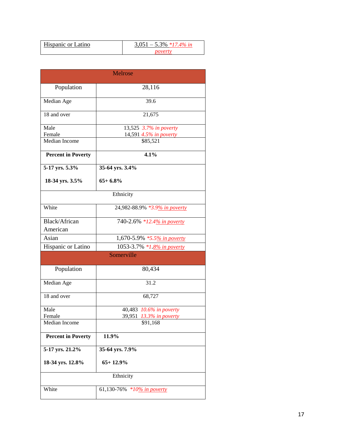| <b>Hispanic or Latino</b> | $0.051 - 5.3\%$ *17.4% in |
|---------------------------|---------------------------|
|                           |                           |

| <b>Melrose</b>            |                                                               |  |
|---------------------------|---------------------------------------------------------------|--|
| Population                | 28,116                                                        |  |
| Median Age                | 39.6                                                          |  |
| 18 and over               | 21,675                                                        |  |
| Male<br>Female            | $\overline{13,525}$ 3.7% in poverty<br>14,591 4.5% in poverty |  |
| Median Income             | \$85,521                                                      |  |
| <b>Percent in Poverty</b> | 4.1%                                                          |  |
| 5-17 yrs. 5.3%            | 35-64 yrs. 3.4%                                               |  |
| 18-34 yrs. 3.5%           | $65+6.8%$                                                     |  |
| Ethnicity                 |                                                               |  |
| White                     | 24,982-88.9% *3.9% in poverty                                 |  |
| Black/African<br>American | 740-2.6% *12.4% in poverty                                    |  |
| Asian                     | 1,670-5.9% *5.5% in poverty                                   |  |
| Hispanic or Latino        | 1053-3.7% *1.8% in poverty                                    |  |
|                           | Somerville                                                    |  |
| Population                | 80,434                                                        |  |
| Median Age                | 31.2                                                          |  |
| 18 and over               | 68,727                                                        |  |
| Male                      | 40,483 10.6% in poverty                                       |  |
| Female                    | 39,951 13.3% in poverty                                       |  |
| Median Income             | \$91,168                                                      |  |
| <b>Percent in Poverty</b> | 11.9%                                                         |  |
| 5-17 yrs. 21.2%           | 35-64 yrs. 7.9%                                               |  |
| 18-34 yrs. 12.8%          | $65+12.9%$                                                    |  |
|                           | Ethnicity                                                     |  |
| White                     | 61,130-76% *10% in poverty                                    |  |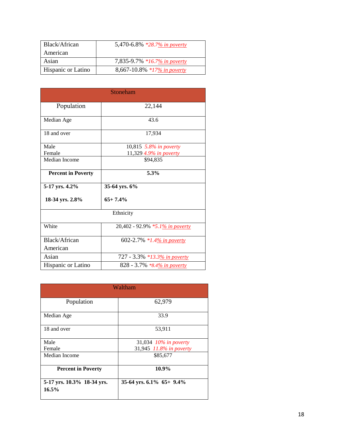| Black/African             | 5,470-6.8% *28.7% in poverty |
|---------------------------|------------------------------|
| American                  |                              |
| Asian                     | 7,835-9.7% *16.7% in poverty |
| <b>Hispanic or Latino</b> | 8,667-10.8% *17% in poverty  |

| Stoneham                  |                                 |
|---------------------------|---------------------------------|
| Population                | 22,144                          |
| Median Age                | 43.6                            |
| 18 and over               | 17,934                          |
| Male                      | 10,815 5.8% in poverty          |
| Female                    | 11,329 4.9% in poverty          |
| Median Income             | \$94,835                        |
| <b>Percent in Poverty</b> | 5.3%                            |
| 5-17 yrs. 4.2%            | 35-64 yrs. 6%                   |
| 18-34 yrs. 2.8%           | $65 + 7.4%$                     |
| Ethnicity                 |                                 |
| White                     | 20,402 - 92.9% *5.1% in poverty |
| Black/African             | 602-2.7% *1.4% in poverty       |
| American                  |                                 |
| Asian                     | 727 - 3.3% *13.3% in poverty    |
| Hispanic or Latino        | 828 - 3.7% *8.4% in poverty     |

| Waltham                             |                             |  |  |
|-------------------------------------|-----------------------------|--|--|
| Population                          | 62,979                      |  |  |
| Median Age                          | 33.9                        |  |  |
| 18 and over                         | 53,911                      |  |  |
| Male                                | 31,034 10% in poverty       |  |  |
| Female                              | 31,945 11.8% in poverty     |  |  |
| Median Income                       | \$85,677                    |  |  |
| <b>Percent in Poverty</b>           | 10.9%                       |  |  |
| 5-17 yrs. 10.3% 18-34 yrs.<br>16.5% | 35-64 yrs. $6.1\%$ 65+ 9.4% |  |  |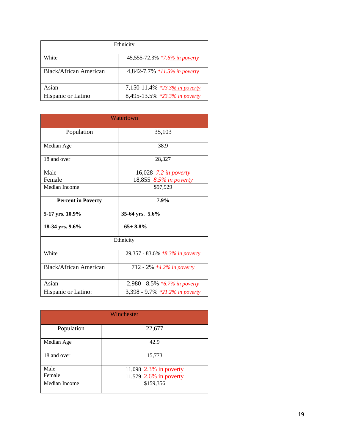| Ethnicity              |                               |  |
|------------------------|-------------------------------|--|
| White                  | 45,555-72.3% *7.6% in poverty |  |
| Black/African American | 4,842-7.7% *11.5% in poverty  |  |
| Asian                  | 7,150-11.4% *23.3% in poverty |  |
| Hispanic or Latino     | 8,495-13.5% *23.3% in poverty |  |

| Watertown                     |                                 |  |  |
|-------------------------------|---------------------------------|--|--|
| Population                    | 35,103                          |  |  |
| Median Age                    | 38.9                            |  |  |
| 18 and over                   | 28,327                          |  |  |
| Male                          | 16,028 7.2 in poverty           |  |  |
| Female                        | 18,855 8.5% in poverty          |  |  |
| Median Income                 | \$97,929                        |  |  |
| <b>Percent in Poverty</b>     | 7.9%                            |  |  |
| 5-17 yrs. 10.9%               | 35-64 yrs. 5.6%                 |  |  |
| 18-34 yrs. 9.6%               | $65+8.8%$                       |  |  |
| Ethnicity                     |                                 |  |  |
| White                         | 29,357 - 83.6% *8.3% in poverty |  |  |
| <b>Black/African American</b> | 712 - 2% *4.2% in poverty       |  |  |
| Asian                         | 2,980 - 8.5% *6.7% in poverty   |  |  |
| Hispanic or Latino:           | 3,398 - 9.7% *21.2% in poverty  |  |  |

| Winchester    |                        |  |  |
|---------------|------------------------|--|--|
| Population    | 22,677                 |  |  |
| Median Age    | 42.9                   |  |  |
| 18 and over   | 15,773                 |  |  |
| Male          | 11,098 2.3% in poverty |  |  |
| Female        | 11,579 2.6% in poverty |  |  |
| Median Income | \$159,356              |  |  |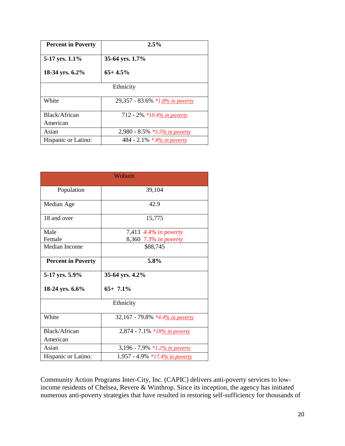| <b>Percent in Poverty</b> | 2.5%                            |  |  |  |
|---------------------------|---------------------------------|--|--|--|
| 5-17 yrs. 1.1%            | 35-64 yrs. 1.7%                 |  |  |  |
| 18-34 yrs. 6.2%           | $65+4.5%$                       |  |  |  |
| Ethnicity                 |                                 |  |  |  |
| White                     | 29,357 - 83.6% *1.8% in poverty |  |  |  |
| Black/African             | 712 - 2% *10.4% in poverty      |  |  |  |
| American                  |                                 |  |  |  |
| Asian                     | 2,980 - 8.5% *5.5% in poverty   |  |  |  |
| Hispanic or Latino:       | 484 - 2.1% *.8% in poverty      |  |  |  |

| Woburn                    |                                 |  |  |  |
|---------------------------|---------------------------------|--|--|--|
| Population                | 39,104                          |  |  |  |
| Median Age                | 42.9                            |  |  |  |
| 18 and over               | 15,775                          |  |  |  |
| Male                      | 7,413 4.4% in poverty           |  |  |  |
| Female                    | 8,360 7.3% in poverty           |  |  |  |
| Median Income             | \$88,745                        |  |  |  |
| <b>Percent in Poverty</b> | 5.8%                            |  |  |  |
| 5-17 yrs. 5.9%            | 35-64 yrs. 4.2%                 |  |  |  |
| 18-24 yrs. 6.6%           | $65+7.1%$                       |  |  |  |
| Ethnicity                 |                                 |  |  |  |
| White                     | 32,167 - 79.8% *4.4% in poverty |  |  |  |
| Black/African             | 2,874 - 7.1% *18% in poverty    |  |  |  |
| American                  |                                 |  |  |  |
| Asian                     | 3,196 - 7.9% *1.2% in poverty   |  |  |  |
| Hispanic or Latino:       | 1,957 - 4.9% *17.4% in poverty  |  |  |  |

Community Action Programs Inter-City, Inc. (CAPIC) delivers anti-poverty services to lowincome residents of Chelsea, Revere & Winthrop. Since its inception, the agency has initiated numerous anti-poverty strategies that have resulted in restoring self-sufficiency for thousands of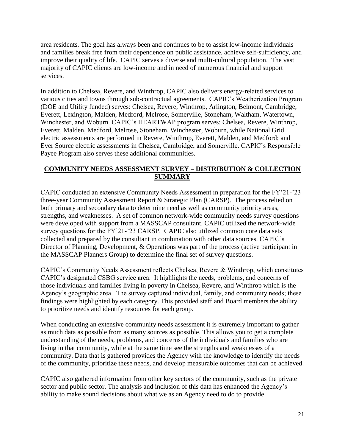area residents. The goal has always been and continues to be to assist low-income individuals and families break free from their dependence on public assistance, achieve self-sufficiency, and improve their quality of life. CAPIC serves a diverse and multi-cultural population. The vast majority of CAPIC clients are low-income and in need of numerous financial and support services.

In addition to Chelsea, Revere, and Winthrop, CAPIC also delivers energy-related services to various cities and towns through sub-contractual agreements. CAPIC's Weatherization Program (DOE and Utility funded) serves: Chelsea, Revere, Winthrop, Arlington, Belmont, Cambridge, Everett, Lexington, Malden, Medford, Melrose, Somerville, Stoneham, Waltham, Watertown, Winchester, and Woburn. CAPIC's HEARTWAP program serves: Chelsea, Revere, Winthrop, Everett, Malden, Medford, Melrose, Stoneham, Winchester, Woburn, while National Grid electric assessments are performed in Revere, Winthrop, Everett, Malden, and Medford; and Ever Source electric assessments in Chelsea, Cambridge, and Somerville. CAPIC's Responsible Payee Program also serves these additional communities.

## **COMMUNITY NEEDS ASSESSMENT SURVEY – DISTRIBUTION & COLLECTION SUMMARY**

CAPIC conducted an extensive Community Needs Assessment in preparation for the FY'21-'23 three-year Community Assessment Report & Strategic Plan (CARSP). The process relied on both primary and secondary data to determine need as well as community priority areas, strengths, and weaknesses. A set of common network-wide community needs survey questions were developed with support from a MASSCAP consultant. CAPIC utilized the network-wide survey questions for the FY'21-'23 CARSP. CAPIC also utilized common core data sets collected and prepared by the consultant in combination with other data sources. CAPIC's Director of Planning, Development, & Operations was part of the process (active participant in the MASSCAP Planners Group) to determine the final set of survey questions.

CAPIC's Community Needs Assessment reflects Chelsea, Revere & Winthrop, which constitutes CAPIC's designated CSBG service area. It highlights the needs, problems, and concerns of those individuals and families living in poverty in Chelsea, Revere, and Winthrop which is the Agency's geographic area. The survey captured individual, family, and community needs; these findings were highlighted by each category. This provided staff and Board members the ability to prioritize needs and identify resources for each group.

When conducting an extensive community needs assessment it is extremely important to gather as much data as possible from as many sources as possible. This allows you to get a complete understanding of the needs, problems, and concerns of the individuals and families who are living in that community, while at the same time see the strengths and weaknesses of a community. Data that is gathered provides the Agency with the knowledge to identify the needs of the community, prioritize these needs, and develop measurable outcomes that can be achieved.

CAPIC also gathered information from other key sectors of the community, such as the private sector and public sector. The analysis and inclusion of this data has enhanced the Agency's ability to make sound decisions about what we as an Agency need to do to provide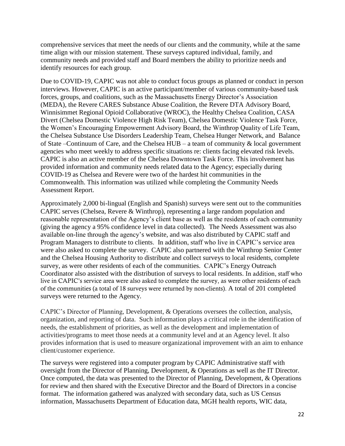comprehensive services that meet the needs of our clients and the community, while at the same time align with our mission statement. These surveys captured individual, family, and community needs and provided staff and Board members the ability to prioritize needs and identify resources for each group.

Due to COVID-19, CAPIC was not able to conduct focus groups as planned or conduct in person interviews. However, CAPIC is an active participant/member of various community-based task forces, groups, and coalitions, such as the Massachusetts Energy Director's Association (MEDA), the Revere CARES Substance Abuse Coalition, the Revere DTA Advisory Board, Winnisimmet Regional Opioid Collaborative (WROC), the Healthy Chelsea Coalition, CASA Divert (Chelsea Domestic Violence High Risk Team), Chelsea Domestic Violence Task Force, the Women's Encouraging Empowerment Advisory Board, the Winthrop Quality of Life Team, the Chelsea Substance Use Disorders Leadership Team, Chelsea Hunger Network, and Balance of State –Continuum of Care, and the Chelsea HUB – a team of community & local government agencies who meet weekly to address specific situations re: clients facing elevated risk levels. CAPIC is also an active member of the Chelsea Downtown Task Force. This involvement has provided information and community needs related data to the Agency; especially during COVID-19 as Chelsea and Revere were two of the hardest hit communities in the Commonwealth. This information was utilized while completing the Community Needs Assessment Report.

Approximately 2,000 bi-lingual (English and Spanish) surveys were sent out to the communities CAPIC serves (Chelsea, Revere & Winthrop), representing a large random population and reasonable representation of the Agency's client base as well as the residents of each community (giving the agency a 95% confidence level in data collected). The Needs Assessment was also available on-line through the agency's website, and was also distributed by CAPIC staff and Program Managers to distribute to clients. In addition, staff who live in CAPIC's service area were also asked to complete the survey. CAPIC also partnered with the Winthrop Senior Center and the Chelsea Housing Authority to distribute and collect surveys to local residents, complete survey, as were other residents of each of the communities. CAPIC's Energy Outreach Coordinator also assisted with the distribution of surveys to local residents. In addition, staff who live in CAPIC's service area were also asked to complete the survey, as were other residents of each of the communities (a total of 18 surveys were returned by non-clients). A total of 201 completed surveys were returned to the Agency.

CAPIC's Director of Planning, Development, & Operations oversees the collection, analysis, organization, and reporting of data. Such information plays a critical role in the identification of needs, the establishment of priorities, as well as the development and implementation of activities/programs to meet those needs at a community level and at an Agency level. It also provides information that is used to measure organizational improvement with an aim to enhance client/customer experience.

The surveys were registered into a computer program by CAPIC Administrative staff with oversight from the Director of Planning, Development, & Operations as well as the IT Director. Once computed, the data was presented to the Director of Planning, Development, & Operations for review and then shared with the Executive Director and the Board of Directors in a concise format. The information gathered was analyzed with secondary data, such as US Census information, Massachusetts Department of Education data, MGH health reports, WIC data,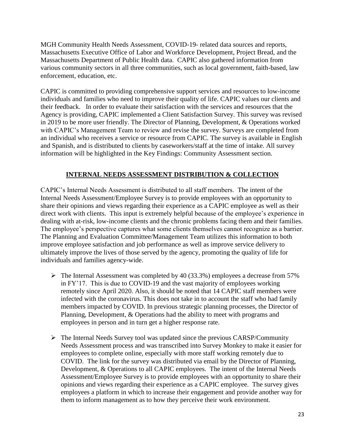MGH Community Health Needs Assessment, COVID-19- related data sources and reports, Massachusetts Executive Office of Labor and Workforce Development, Project Bread, and the Massachusetts Department of Public Health data. CAPIC also gathered information from various community sectors in all three communities, such as local government, faith-based, law enforcement, education, etc.

CAPIC is committed to providing comprehensive support services and resources to low-income individuals and families who need to improve their quality of life. CAPIC values our clients and their feedback. In order to evaluate their satisfaction with the services and resources that the Agency is providing, CAPIC implemented a Client Satisfaction Survey. This survey was revised in 2019 to be more user friendly. The Director of Planning, Development, & Operations worked with CAPIC's Management Team to review and revise the survey. Surveys are completed from an individual who receives a service or resource from CAPIC. The survey is available in English and Spanish, and is distributed to clients by caseworkers/staff at the time of intake. All survey information will be highlighted in the Key Findings: Community Assessment section.

## **INTERNAL NEEDS ASSESSMENT DISTRIBUTION & COLLECTION**

CAPIC's Internal Needs Assessment is distributed to all staff members. The intent of the Internal Needs Assessment/Employee Survey is to provide employees with an opportunity to share their opinions and views regarding their experience as a CAPIC employee as well as their direct work with clients. This input is extremely helpful because of the employee's experience in dealing with at-risk, low-income clients and the chronic problems facing them and their families. The employee's perspective captures what some clients themselves cannot recognize as a barrier. The Planning and Evaluation Committee/Management Team utilizes this information to both improve employee satisfaction and job performance as well as improve service delivery to ultimately improve the lives of those served by the agency, promoting the quality of life for individuals and families agency-wide.

- ➢ The Internal Assessment was completed by 40 (33.3%) employees a decrease from 57% in FY'17. This is due to COVID-19 and the vast majority of employees working remotely since April 2020. Also, it should be noted that 14 CAPIC staff members were infected with the coronavirus. This does not take in to account the staff who had family members impacted by COVID. In previous strategic planning processes, the Director of Planning, Development, & Operations had the ability to meet with programs and employees in person and in turn get a higher response rate.
- $\triangleright$  The Internal Needs Survey tool was updated since the previous CARSP/Community Needs Assessment process and was transcribed into Survey Monkey to make it easier for employees to complete online, especially with more staff working remotely due to COVID. The link for the survey was distributed via email by the Director of Planning, Development, & Operations to all CAPIC employees. The intent of the Internal Needs Assessment/Employee Survey is to provide employees with an opportunity to share their opinions and views regarding their experience as a CAPIC employee. The survey gives employees a platform in which to increase their engagement and provide another way for them to inform management as to how they perceive their work environment.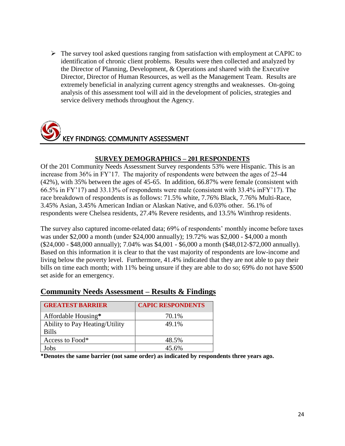$\triangleright$  The survey tool asked questions ranging from satisfaction with employment at CAPIC to identification of chronic client problems. Results were then collected and analyzed by the Director of Planning, Development, & Operations and shared with the Executive Director, Director of Human Resources, as well as the Management Team. Results are extremely beneficial in analyzing current agency strengths and weaknesses. On-going analysis of this assessment tool will aid in the development of policies, strategies and service delivery methods throughout the Agency.



## **SURVEY DEMOGRAPHICS – 201 RESPONDENTS**

Of the 201 Community Needs Assessment Survey respondents 53% were Hispanic. This is an increase from 36% in FY'17. The majority of respondents were between the ages of 25-44 (42%), with 35% between the ages of 45-65. In addition, 66.87% were female (consistent with 66.5% in FY'17) and 33.13% of respondents were male (consistent with 33.4% inFY'17). The race breakdown of respondents is as follows: 71.5% white, 7.76% Black, 7.76% Multi-Race, 3.45% Asian, 3.45% American Indian or Alaskan Native, and 6.03% other. 56.1% of respondents were Chelsea residents, 27.4% Revere residents, and 13.5% Winthrop residents.

The survey also captured income-related data; 69% of respondents' monthly income before taxes was under \$2,000 a month (under \$24,000 annually); 19.72% was \$2,000 - \$4,000 a month (\$24,000 - \$48,000 annually); 7.04% was \$4,001 - \$6,000 a month (\$48,012-\$72,000 annually). Based on this information it is clear to that the vast majority of respondents are low-income and living below the poverty level. Furthermore, 41.4% indicated that they are not able to pay their bills on time each month; with 11% being unsure if they are able to do so; 69% do not have \$500 set aside for an emergency.

| <b>GREATEST BARRIER</b>        | <b>CAPIC RESPONDENTS</b> |
|--------------------------------|--------------------------|
| Affordable Housing*            | 70.1%                    |
| Ability to Pay Heating/Utility | 49.1%                    |
| <b>Bills</b>                   |                          |
| Access to Food*                | 48.5%                    |
| obs                            | 45.6%                    |

## **Community Needs Assessment – Results & Findings**

**\*Denotes the same barrier (not same order) as indicated by respondents three years ago.**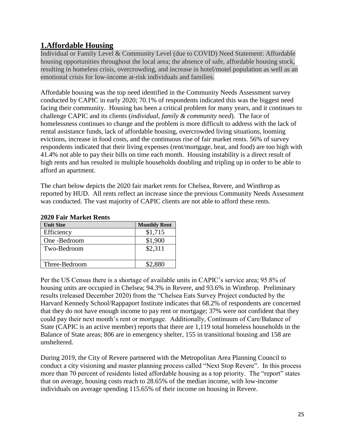# **1.Affordable Housing**

Individual or Family Level & Community Level (due to COVID) Need Statement: Affordable housing opportunities throughout the local area; the absence of safe, affordable housing stock, resulting in homeless crisis, overcrowding, and increase in hotel/motel population as well as an emotional crisis for low-income at-risk individuals and families.

Affordable housing was the top need identified in the Community Needs Assessment survey conducted by CAPIC in early 2020; 70.1% of respondents indicated this was the biggest need facing their community. Housing has been a critical problem for many years, and it continues to challenge CAPIC and its clients (*individual, family & community need*). The face of homelessness continues to change and the problem is more difficult to address with the lack of rental assistance funds, lack of affordable housing, overcrowded living situations, looming evictions, increase in food costs, and the continuous rise of fair market rents. 56% of survey respondents indicated that their living expenses (rent/mortgage, heat, and food) are too high with 41.4% not able to pay their bills on time each month. Housing instability is a direct result of high rents and has resulted in multiple households doubling and tripling up in order to be able to afford an apartment.

The chart below depicts the 2020 fair market rents for Chelsea, Revere, and Winthrop as reported by HUD. All rents reflect an increase since the previous Community Needs Assessment was conducted. The vast majority of CAPIC clients are not able to afford these rents.

| $2020$ I ail Inal Kul Kulits |                     |  |
|------------------------------|---------------------|--|
| <b>Unit Size</b>             | <b>Monthly Rent</b> |  |
| Efficiency                   | \$1,715             |  |
| One -Bedroom                 | \$1,900             |  |
| Two-Bedroom                  | \$2,311             |  |
| Three-Bedroom                | \$2,880             |  |

#### **2020 Fair Market Rents**

Per the US Census there is a shortage of available units in CAPIC's service area; 95.8% of housing units are occupied in Chelsea; 94.3% in Revere, and 93.6% in Winthrop. Preliminary results (released December 2020) from the "Chelsea Eats Survey Project conducted by the Harvard Kennedy School/Rappaport Institute indicates that 68.2% of respondents are concerned that they do not have enough income to pay rent or mortgage; 37% were not confident that they could pay their next month's rent or mortgage. Additionally, Continuum of Care/Balance of State (CAPIC is an active member) reports that there are 1,119 total homeless households in the Balance of State areas; 806 are in emergency shelter, 155 in transitional housing and 158 are unsheltered.

During 2019, the City of Revere partnered with the Metropolitan Area Planning Council to conduct a city visioning and master planning process called "Next Stop Revere". In this process more than 70 percent of residents listed affordable housing as a top priority. The "report" states that on average, housing costs reach to 28.65% of the median income, with low-income individuals on average spending 115.65% of their income on housing in Revere.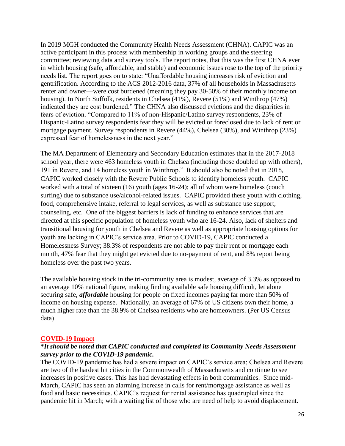In 2019 MGH conducted the Community Health Needs Assessment (CHNA). CAPIC was an active participant in this process with membership in working groups and the steering committee; reviewing data and survey tools. The report notes, that this was the first CHNA ever in which housing (safe, affordable, and stable) and economic issues rose to the top of the priority needs list. The report goes on to state: "Unaffordable housing increases risk of eviction and gentrification. According to the ACS 2012-2016 data, 37% of all households in Massachusetts renter and owner—were cost burdened (meaning they pay 30-50% of their monthly income on housing). In North Suffolk, residents in Chelsea (41%), Revere (51%) and Winthrop (47%) indicated they are cost burdened." The CHNA also discussed evictions and the disparities in fears of eviction. "Compared to 11% of non-Hispanic/Latino survey respondents, 23% of Hispanic-Latino survey respondents fear they will be evicted or foreclosed due to lack of rent or mortgage payment. Survey respondents in Revere (44%), Chelsea (30%), and Winthrop (23%) expressed fear of homelessness in the next year."

The MA Department of Elementary and Secondary Education estimates that in the 2017-2018 school year, there were 463 homeless youth in Chelsea (including those doubled up with others), 191 in Revere, and 14 homeless youth in Winthrop." It should also be noted that in 2018, CAPIC worked closely with the Revere Public Schools to identify homeless youth. CAPIC worked with a total of sixteen (16) youth (ages 16-24); all of whom were homeless (couch surfing) due to substance use/alcohol-related issues. CAPIC provided these youth with clothing, food, comprehensive intake, referral to legal services, as well as substance use support, counseling, etc. One of the biggest barriers is lack of funding to enhance services that are directed at this specific population of homeless youth who are 16-24. Also, lack of shelters and transitional housing for youth in Chelsea and Revere as well as appropriate housing options for youth are lacking in CAPIC's service area. Prior to COVID-19, CAPIC conducted a Homelessness Survey; 38.3% of respondents are not able to pay their rent or mortgage each month, 47% fear that they might get evicted due to no-payment of rent, and 8% report being homeless over the past two years.

The available housing stock in the tri-community area is modest, average of 3.3% as opposed to an average 10% national figure, making finding available safe housing difficult, let alone securing safe, *affordable* housing for people on fixed incomes paying far more than 50% of income on housing expense. Nationally, an average of 67% of US citizens own their home, a much higher rate than the 38.9% of Chelsea residents who are homeowners. (Per US Census data)

#### **COVID-19 Impact**

## **\****It should be noted that CAPIC conducted and completed its Community Needs Assessment survey prior to the COVID-19 pandemic.*

The COVID-19 pandemic has had a severe impact on CAPIC's service area; Chelsea and Revere are two of the hardest hit cities in the Commonwealth of Massachusetts and continue to see increases in positive cases. This has had devastating effects in both communities. Since mid-March, CAPIC has seen an alarming increase in calls for rent/mortgage assistance as well as food and basic necessities. CAPIC's request for rental assistance has quadrupled since the pandemic hit in March; with a waiting list of those who are need of help to avoid displacement.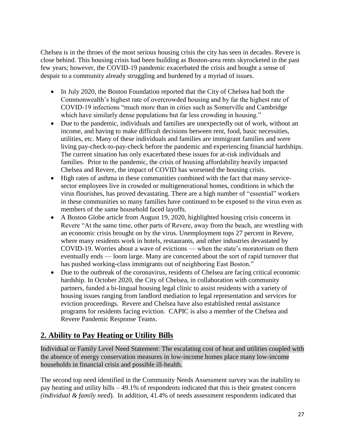Chelsea is in the throes of the most serious housing crisis the city has seen in decades. Revere is close behind. This housing crisis had been building as Boston-area rents skyrocketed in the past few years; however, the COVID-19 pandemic exacerbated the crisis and bought a sense of despair to a community already struggling and burdened by a myriad of issues.

- In July 2020, the Boston Foundation reported that the City of Chelsea had both the Commonwealth's highest rate of overcrowded housing and by far the highest rate of COVID-19 infections "much more than in cities such as Somerville and Cambridge which have similarly dense populations but far less crowding in housing."
- Due to the pandemic, individuals and families are unexpectedly out of work, without an income, and having to make difficult decisions between rent, food, basic necessities, utilities, etc. Many of these individuals and families are immigrant families and were living pay-check-to-pay-check before the pandemic and experiencing financial hardships. The current situation has only exacerbated these issues for at-risk individuals and families. Prior to the pandemic, the crisis of housing affordability heavily impacted Chelsea and Revere, the impact of COVID has worsened the housing crisis.
- High rates of asthma in these communities combined with the fact that many servicesector employees live in crowded or multigenerational homes, conditions in which the virus flourishes, has proved devastating. There are a high number of ["essential" workers](https://www.washingtonpost.com/business/2020/04/06/why-do-so-many-essential-workers-get-paid-so-little-heres-what-economists-have-say/?itid=lk_inline_manual_8) in these communities so many families have continued to be exposed to the virus even as members of the same household faced layoffs.
- A Boston Globe article from August 19, 2020, highlighted housing crisis concerns in Revere "At the same time, other parts of Revere, away from the beach, are wrestling with an economic crisis brought on by the virus. Unemployment tops 27 percent in Revere, where many residents work in hotels, restaurants, and other industries devastated by COVID-19. Worries about a wave of evictions — when the state's moratorium on them eventually ends — loom large. Many are concerned about the sort of rapid turnover that has pushed working-class immigrants out of neighboring East Boston."
- Due to the outbreak of the coronavirus, residents of Chelsea are facing critical economic hardship. In October 2020, the City of Chelsea, in collaboration with community partners, funded a bi-lingual housing legal clinic to assist residents with a variety of housing issues ranging from landlord mediation to legal representation and services for eviction proceedings. Revere and Chelsea have also established rental assistance programs for residents facing eviction. CAPIC is also a member of the Chelsea and Revere Pandemic Response Teams.

# **2. Ability to Pay Heating or Utility Bills**

Individual or Family Level Need Statement: The escalating cost of heat and utilities coupled with the absence of energy conservation measures in low-income homes place many low-income households in financial crisis and possible ill-health.

The second top need identified in the Community Needs Assessment survey was the inability to pay heating and utility bills – 49.1% of respondents indicated that this is their greatest concern *(individual & family need*).In addition, 41.4% of needs assessment respondents indicated that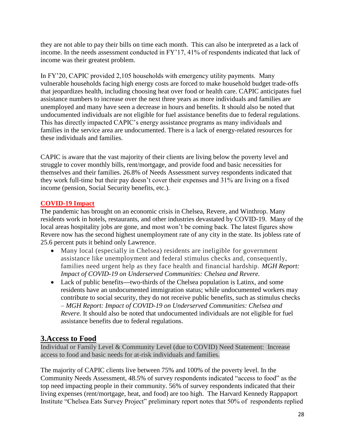they are not able to pay their bills on time each month. This can also be interpreted as a lack of income. In the needs assessment conducted in FY'17, 41% of respondents indicated that lack of income was their greatest problem.

In FY'20, CAPIC provided 2,105 households with emergency utility payments. Many vulnerable households facing high energy costs are forced to make household budget trade-offs that jeopardizes health, including choosing heat over food or health care. CAPIC anticipates fuel assistance numbers to increase over the next three years as more individuals and families are unemployed and many have seen a decrease in hours and benefits. It should also be noted that undocumented individuals are not eligible for fuel assistance benefits due to federal regulations. This has directly impacted CAPIC's energy assistance programs as many individuals and families in the service area are undocumented. There is a lack of energy-related resources for these individuals and families.

CAPIC is aware that the vast majority of their clients are living below the poverty level and struggle to cover monthly bills, rent/mortgage, and provide food and basic necessities for themselves and their families. 26.8% of Needs Assessment survey respondents indicated that they work full-time but their pay doesn't cover their expenses and 31% are living on a fixed income (pension, Social Security benefits, etc.).

## **COVID-19 Impact**

The pandemic has brought on an economic crisis in Chelsea, Revere, and Winthrop. Many residents work in hotels, restaurants, and other industries devastated by COVID-19. Many of the local areas hospitality jobs are gone, and most won't be coming back. The latest figures show Revere now has the second highest unemployment rate of any city in the state. Its jobless rate of 25.6 percent puts it behind only Lawrence.

- Many local (especially in Chelsea) residents are ineligible for government assistance like unemployment and federal stimulus checks and, consequently, families need urgent help as they face health and financial hardship. *MGH Report: Impact of COVID-19 on Underserved Communities: Chelsea and Revere.*
- Lack of public benefits**—**two-thirds of the Chelsea population is Latinx, and some residents have an undocumented immigration status; while undocumented workers may contribute to social security, they do not receive public benefits, such as stimulus checks – *MGH Report: Impact of COVID-19 on Underserved Communities: Chelsea and Revere.* It should also be noted that undocumented individuals are not eligible for fuel assistance benefits due to federal regulations.

# **3.Access to Food**

Individual or Family Level & Community Level (due to COVID) Need Statement: Increase access to food and basic needs for at-risk individuals and families.

The majority of CAPIC clients live between 75% and 100% of the poverty level. In the Community Needs Assessment, 48.5% of survey respondents indicated "access to food" as the top need impacting people in their community. 56% of survey respondents indicated that their living expenses (rent/mortgage, heat, and food) are too high. The Harvard Kennedy Rappaport Institute "Chelsea Eats Survey Project" preliminary report notes that 50% of respondents replied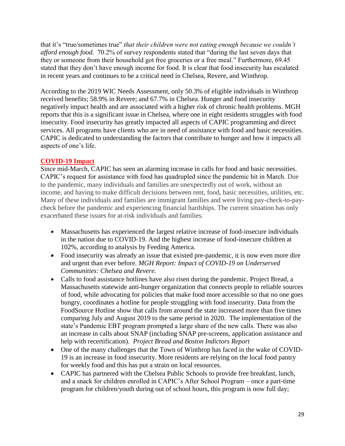that it's "true/sometimes true" *that their children were not eating enough because we couldn't afford enough food.* 70.2% of survey respondents stated that "during the last seven days that they or someone from their household got free groceries or a free meal." Furthermore, 69.45 stated that they don't have enough income for food. It is clear that food insecurity has escalated in recent years and continues to be a critical need in Chelsea, Revere, and Winthrop.

According to the 2019 WIC Needs Assessment, only 50.3% of eligible individuals in Winthrop received benefits; 58.9% in Revere; and 67.7% in Chelsea. Hunger and food insecurity negatively impact health and are associated with a higher risk of chronic health problems. MGH reports that this is a significant issue in Chelsea, where one in eight residents struggles with food insecurity. Food insecurity has greatly impacted all aspects of CAPIC programming and direct services. All programs have clients who are in need of assistance with food and basic necessities. CAPIC is dedicated to understanding the factors that contribute to hunger and how it impacts all aspects of one's life.

#### **COVID-19 Impact**

Since mid-March, CAPIC has seen an alarming increase in calls for food and basic necessities. CAPIC's request for assistance with food has quadrupled since the pandemic hit in March. Due to the pandemic, many individuals and families are unexpectedly out of work, without an income, and having to make difficult decisions between rent, food, basic necessities, utilities, etc. Many of these individuals and families are immigrant families and were living pay-check-to-paycheck before the pandemic and experiencing financial hardships. The current situation has only exacerbated these issues for at-risk individuals and families.

- Massachusetts has experienced the largest relative increase of food-insecure individuals in the nation due to COVID-19. And the highest increase of food-insecure children at 102%, according to analysis by Feeding America.
- Food insecurity was already an issue that existed pre-pandemic, it is now even more dire and urgent than ever before. *MGH Report: Impact of COVID-19 on Underserved Communities: Chelsea and Revere.*
- Calls to food assistance hotlines have also risen during the pandemic. Project Bread, a Massachusetts statewide anti-hunger organization that connects people to reliable sources of food, while advocating for policies that make food more accessible so that no one goes hungry, coordinates a hotline for people struggling with food insecurity. Data from the FoodSource Hotline show that calls from around the state increased more than five times comparing July and August 2019 to the same period in 2020. The implementation of the state's Pandemic EBT program prompted a large share of the new calls. There was also an increase in calls about SNAP (including SNAP pre-screens, application assistance and help with recertification). *Project Bread and Boston Indictors Report*
- One of the many challenges that the Town of Winthrop has faced in the wake of COVID-19 is an increase in food insecurity. More residents are relying on the local food pantry for weekly food and this has put a strain on local resources.
- CAPIC has partnered with the Chelsea Public Schools to provide free breakfast, lunch, and a snack for children enrolled in CAPIC's After School Program – once a part-time program for children/youth during out of school hours, this program is now full day;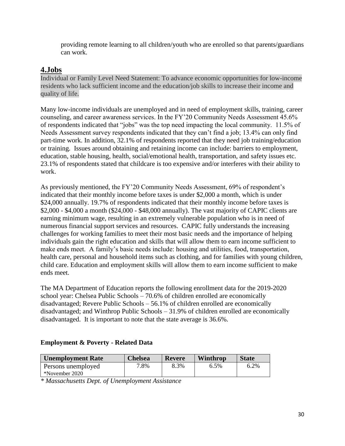providing remote learning to all children/youth who are enrolled so that parents/guardians can work.

## **4.Jobs**

Individual or Family Level Need Statement: To advance economic opportunities for low-income residents who lack sufficient income and the education/job skills to increase their income and quality of life.

Many low-income individuals are unemployed and in need of employment skills, training, career counseling, and career awareness services. In the FY'20 Community Needs Assessment 45.6% of respondents indicated that "jobs" was the top need impacting the local community. 11.5% of Needs Assessment survey respondents indicated that they can't find a job; 13.4% can only find part-time work. In addition, 32.1% of respondents reported that they need job training/education or training. Issues around obtaining and retaining income can include: barriers to employment, education, stable housing, health, social/emotional health, transportation, and safety issues etc. 23.1% of respondents stated that childcare is too expensive and/or interferes with their ability to work.

As previously mentioned, the FY'20 Community Needs Assessment, 69% of respondent's indicated that their monthly income before taxes is under \$2,000 a month, which is under \$24,000 annually. 19.7% of respondents indicated that their monthly income before taxes is \$2,000 - \$4,000 a month (\$24,000 - \$48,000 annually). The vast majority of CAPIC clients are earning minimum wage, resulting in an extremely vulnerable population who is in need of numerous financial support services and resources. CAPIC fully understands the increasing challenges for working families to meet their most basic needs and the importance of helping individuals gain the right education and skills that will allow them to earn income sufficient to make ends meet. A family's basic needs include: housing and utilities, food, transportation, health care, personal and household items such as clothing, and for families with young children, child care. Education and employment skills will allow them to earn income sufficient to make ends meet.

The MA Department of Education reports the following enrollment data for the 2019-2020 school year: Chelsea Public Schools – 70.6% of children enrolled are economically disadvantaged; Revere Public Schools – 56.1% of children enrolled are economically disadvantaged; and Winthrop Public Schools – 31.9% of children enrolled are economically disadvantaged. It is important to note that the state average is 36.6%.

## **Employment & Poverty - Related Data**

| <b>Unemployment Rate</b> | <b>Chelsea</b> | <b>Revere</b> | Winthrop | <b>State</b> |
|--------------------------|----------------|---------------|----------|--------------|
| Persons unemployed       | 7.8%           | 8.3%          | $6.5\%$  | 6.2%         |
| *November 2020           |                |               |          |              |

*\* Massachusetts Dept. of Unemployment Assistance*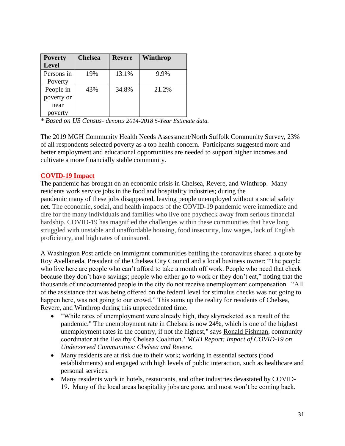| <b>Poverty</b> | <b>Chelsea</b> | Revere | Winthrop |
|----------------|----------------|--------|----------|
| <b>Level</b>   |                |        |          |
| Persons in     | 19%            | 13.1%  | 9.9%     |
| Poverty        |                |        |          |
| People in      | 43%            | 34.8%  | 21.2%    |
| poverty or     |                |        |          |
| near           |                |        |          |
| poverty        |                |        |          |

*\* Based on US Census- denotes 2014-2018 5-Year Estimate data.*

The 2019 MGH Community Health Needs Assessment/North Suffolk Community Survey, 23% of all respondents selected poverty as a top health concern. Participants suggested more and better employment and educational opportunities are needed to support higher incomes and cultivate a more financially stable community.

## **COVID-19 Impact**

The pandemic has brought on an economic crisis in Chelsea, Revere, and Winthrop. Many residents work service jobs in the food and hospitality industries; during the pandemic many of these jobs disappeared, leaving people unemployed without a social safety net. The economic, social, and health impacts of the COVID-19 pandemic were immediate and dire for the many individuals and families who live one paycheck away from serious financial hardship. COVID-19 has magnified the challenges within these communities that have long struggled with unstable and unaffordable housing, food insecurity, low wages, lack of English proficiency, and high rates of uninsured.

A Washington Post article on immigrant communities battling the coronavirus shared a quote by Roy Avellaneda, President of the Chelsea City Council and a local business owner: "The people who live here are people who can't afford to take a month off work. People who need that check because they don't have savings; people who either go to work or they don't eat," noting that the thousands of undocumented people in the city do not receive unemployment compensation. "All of the assistance that was being offered on the federal level for stimulus checks was not going to happen here, was not going to our crowd." This sums up the reality for residents of Chelsea, Revere, and Winthrop during this unprecedented time.

- "While rates of unemployment were already high, they skyrocketed as a result of the pandemic." The unemployment rate in Chelsea is now 24%, which is one of the highest unemployment rates in the country, if not the highest," says [Ronald Fishman,](http://healthychelsea.org/staff/ron-fishman/) community coordinator at the Healthy Chelsea Coalition.' *MGH Report: Impact of COVID-19 on Underserved Communities: Chelsea and Revere.*
- Many residents are at risk due to their work; working in essential sectors (food establishments) and engaged with high levels of public interaction, such as healthcare and personal services.
- Many residents work in hotels, restaurants, and other industries devastated by COVID-19. Many of the local areas hospitality jobs are gone, and most won't be coming back.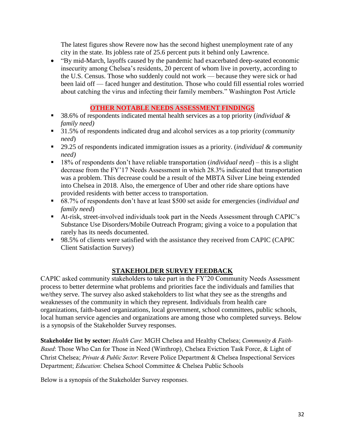The latest figures show Revere now has the second highest unemployment rate of any city in the state. Its jobless rate of 25.6 percent puts it behind only Lawrence.

• "By mid-March, layoffs caused by the pandemic had exacerbated deep-seated economic insecurity among Chelsea's residents, 20 percent of whom live in poverty, according to the U.S. Census. Those who suddenly could not work — because they were sick or had been laid off — faced hunger and destitution. Those who could fill essential roles worried about catching the virus and infecting their family members." Washington Post Article

## **OTHER NOTABLE NEEDS ASSESSMENT FINDINGS**

- 38.6% of respondents indicated mental health services as a top priority *(individual & family need)*
- 31.5% of respondents indicated drug and alcohol services as a top priority (*community need*)
- 29.25 of respondents indicated immigration issues as a priority. *(individual & community need)*
- 18% of respondents don't have reliable transportation (*individual need*) this is a slight decrease from the FY'17 Needs Assessment in which 28.3% indicated that transportation was a problem. This decrease could be a result of the MBTA Silver Line being extended into Chelsea in 2018. Also, the emergence of Uber and other ride share options have provided residents with better access to transportation.
- 68.7% of respondents don't have at least \$500 set aside for emergencies (*individual and family need*)
- At-risk, street-involved individuals took part in the Needs Assessment through CAPIC's Substance Use Disorders/Mobile Outreach Program; giving a voice to a population that rarely has its needs documented.
- 98.5% of clients were satisfied with the assistance they received from CAPIC (CAPIC Client Satisfaction Survey)

# **STAKEHOLDER SURVEY FEEDBACK**

CAPIC asked community stakeholders to take part in the FY'20 Community Needs Assessment process to better determine what problems and priorities face the individuals and families that we/they serve. The survey also asked stakeholders to list what they see as the strengths and weaknesses of the community in which they represent. Individuals from health care organizations, faith-based organizations, local government, school committees, public schools, local human service agencies and organizations are among those who completed surveys. Below is a synopsis of the Stakeholder Survey responses.

Stakeholder list by sector: *Health Care*: MGH Chelsea and Healthy Chelsea; *Community & Faith-Based*: Those Who Can for Those in Need (Winthrop), Chelsea Eviction Task Force, & Light of Christ Chelsea; *Private & Public Sector*: Revere Police Department & Chelsea Inspectional Services Department; *Education*: Chelsea School Committee & Chelsea Public Schools

Below is a synopsis of the Stakeholder Survey responses.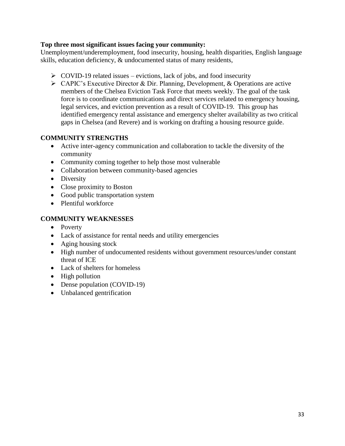## **Top three most significant issues facing your community:**

Unemployment/underemployment, food insecurity, housing, health disparities, English language skills, education deficiency, & undocumented status of many residents,

- $\triangleright$  COVID-19 related issues evictions, lack of jobs, and food insecurity
- ➢ CAPIC's Executive Director & Dir. Planning, Development, & Operations are active members of the Chelsea Eviction Task Force that meets weekly. The goal of the task force is to coordinate communications and direct services related to emergency housing, legal services, and eviction prevention as a result of COVID-19. This group has identified emergency rental assistance and emergency shelter availability as two critical gaps in Chelsea (and Revere) and is working on drafting a housing resource guide.

## **COMMUNITY STRENGTHS**

- Active inter-agency communication and collaboration to tackle the diversity of the community
- Community coming together to help those most vulnerable
- Collaboration between community-based agencies
- Diversity
- Close proximity to Boston
- Good public transportation system
- Plentiful workforce

#### **COMMUNITY WEAKNESSES**

- Poverty
- Lack of assistance for rental needs and utility emergencies
- Aging housing stock
- High number of undocumented residents without government resources/under constant threat of ICE
- Lack of shelters for homeless
- High pollution
- Dense population (COVID-19)
- Unbalanced gentrification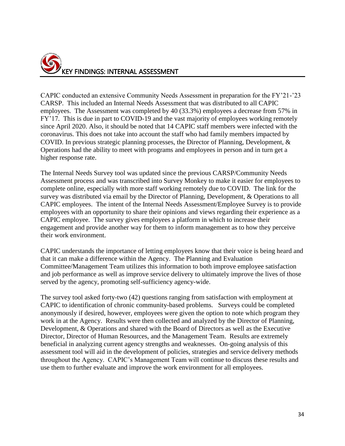

CAPIC conducted an extensive Community Needs Assessment in preparation for the FY'21-'23 CARSP. This included an Internal Needs Assessment that was distributed to all CAPIC employees. The Assessment was completed by 40 (33.3%) employees a decrease from 57% in FY'17. This is due in part to COVID-19 and the vast majority of employees working remotely since April 2020. Also, it should be noted that 14 CAPIC staff members were infected with the coronavirus. This does not take into account the staff who had family members impacted by COVID. In previous strategic planning processes, the Director of Planning, Development, & Operations had the ability to meet with programs and employees in person and in turn get a higher response rate.

The Internal Needs Survey tool was updated since the previous CARSP/Community Needs Assessment process and was transcribed into Survey Monkey to make it easier for employees to complete online, especially with more staff working remotely due to COVID. The link for the survey was distributed via email by the Director of Planning, Development, & Operations to all CAPIC employees. The intent of the Internal Needs Assessment/Employee Survey is to provide employees with an opportunity to share their opinions and views regarding their experience as a CAPIC employee. The survey gives employees a platform in which to increase their engagement and provide another way for them to inform management as to how they perceive their work environment.

CAPIC understands the importance of letting employees know that their voice is being heard and that it can make a difference within the Agency. The Planning and Evaluation Committee/Management Team utilizes this information to both improve employee satisfaction and job performance as well as improve service delivery to ultimately improve the lives of those served by the agency, promoting self-sufficiency agency-wide.

The survey tool asked forty-two (42) questions ranging from satisfaction with employment at CAPIC to identification of chronic community-based problems. Surveys could be completed anonymously if desired, however, employees were given the option to note which program they work in at the Agency. Results were then collected and analyzed by the Director of Planning, Development, & Operations and shared with the Board of Directors as well as the Executive Director, Director of Human Resources, and the Management Team. Results are extremely beneficial in analyzing current agency strengths and weaknesses. On-going analysis of this assessment tool will aid in the development of policies, strategies and service delivery methods throughout the Agency. CAPIC's Management Team will continue to discuss these results and use them to further evaluate and improve the work environment for all employees.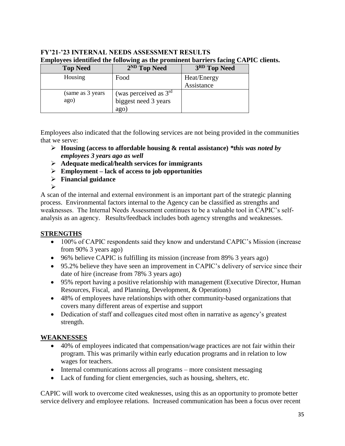# **FY'21-'23 INTERNAL NEEDS ASSESSMENT RESULTS Employees identified the following as the prominent barriers facing CAPIC clients.**

| <b>Top Need</b>   | 2 <sup>ND</sup> Top Need | 3RD Top Need |
|-------------------|--------------------------|--------------|
| Housing           | Food                     | Heat/Energy  |
|                   |                          | Assistance   |
| (same as 3 years) | (was perceived as $3rd$  |              |
| ago)              | biggest need 3 years     |              |
|                   | ago)                     |              |

Employees also indicated that the following services are not being provided in the communities that we serve:

- ➢ **Housing (access to affordable housing & rental assistance)** *\*this was noted by employees 3 years ago as well*
- ➢ **Adequate medical/health services for immigrants**
- ➢ **Employment – lack of access to job opportunities**
- ➢ **Financial guidance** ➢

A scan of the internal and external environment is an important part of the strategic planning process. Environmental factors internal to the Agency can be classified as strengths and weaknesses. The Internal Needs Assessment continues to be a valuable tool in CAPIC's selfanalysis as an agency. Results/feedback includes both agency strengths and weaknesses.

## **STRENGTHS**

- 100% of CAPIC respondents said they know and understand CAPIC's Mission (increase from 90% 3 years ago)
- 96% believe CAPIC is fulfilling its mission (increase from 89% 3 years ago)
- 95.2% believe they have seen an improvement in CAPIC's delivery of service since their date of hire (increase from 78% 3 years ago)
- 95% report having a positive relationship with management (Executive Director, Human Resources, Fiscal, and Planning, Development, & Operations)
- 48% of employees have relationships with other community-based organizations that covers many different areas of expertise and support
- Dedication of staff and colleagues cited most often in narrative as agency's greatest strength.

## **WEAKNESSES**

- 40% of employees indicated that compensation/wage practices are not fair within their program. This was primarily within early education programs and in relation to low wages for teachers.
- Internal communications across all programs more consistent messaging
- Lack of funding for client emergencies, such as housing, shelters, etc.

CAPIC will work to overcome cited weaknesses, using this as an opportunity to promote better service delivery and employee relations. Increased communication has been a focus over recent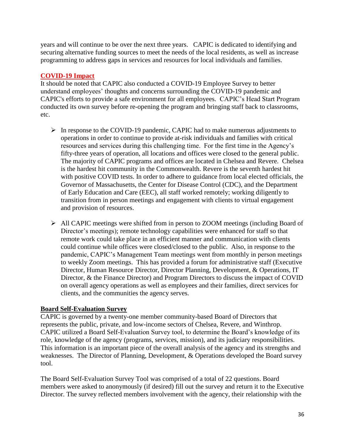years and will continue to be over the next three years. CAPIC is dedicated to identifying and securing alternative funding sources to meet the needs of the local residents, as well as increase programming to address gaps in services and resources for local individuals and families.

## **COVID-19 Impact**

It should be noted that CAPIC also conducted a COVID-19 Employee Survey to better understand employees' thoughts and concerns surrounding the COVID-19 pandemic and CAPIC's efforts to provide a safe environment for all employees. CAPIC's Head Start Program conducted its own survey before re-opening the program and bringing staff back to classrooms, etc.

- ➢ In response to the COVID-19 pandemic, CAPIC had to make numerous adjustments to operations in order to continue to provide at-risk individuals and families with critical resources and services during this challenging time. For the first time in the Agency's fifty-three years of operation, all locations and offices were closed to the general public. The majority of CAPIC programs and offices are located in Chelsea and Revere. Chelsea is the hardest hit community in the Commonwealth. Revere is the seventh hardest hit with positive COVID tests. In order to adhere to guidance from local elected officials, the Governor of Massachusetts, the Center for Disease Control (CDC), and the Department of Early Education and Care (EEC), all staff worked remotely; working diligently to transition from in person meetings and engagement with clients to virtual engagement and provision of resources.
- ➢ All CAPIC meetings were shifted from in person to ZOOM meetings (including Board of Director's meetings); remote technology capabilities were enhanced for staff so that remote work could take place in an efficient manner and communication with clients could continue while offices were closed/closed to the public. Also, in response to the pandemic, CAPIC's Management Team meetings went from monthly in person meetings to weekly Zoom meetings. This has provided a forum for administrative staff (Executive Director, Human Resource Director, Director Planning, Development, & Operations, IT Director, & the Finance Director) and Program Directors to discuss the impact of COVID on overall agency operations as well as employees and their families, direct services for clients, and the communities the agency serves.

## **Board Self-Evaluation Survey**

CAPIC is governed by a twenty-one member community-based Board of Directors that represents the public, private, and low-income sectors of Chelsea, Revere, and Winthrop. CAPIC utilized a Board Self-Evaluation Survey tool, to determine the Board's knowledge of its role, knowledge of the agency (programs, services, mission), and its judiciary responsibilities. This information is an important piece of the overall analysis of the agency and its strengths and weaknesses. The Director of Planning, Development, & Operations developed the Board survey tool.

The Board Self-Evaluation Survey Tool was comprised of a total of 22 questions. Board members were asked to anonymously (if desired) fill out the survey and return it to the Executive Director. The survey reflected members involvement with the agency, their relationship with the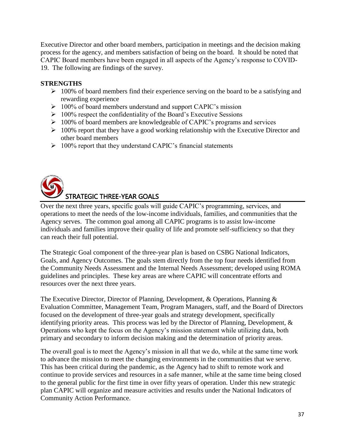Executive Director and other board members, participation in meetings and the decision making process for the agency, and members satisfaction of being on the board. It should be noted that CAPIC Board members have been engaged in all aspects of the Agency's response to COVID-19. The following are findings of the survey.

## **STRENGTHS**

- $\geq 100\%$  of board members find their experience serving on the board to be a satisfying and rewarding experience
- ➢ 100% of board members understand and support CAPIC's mission
- $\geq 100\%$  respect the confidentiality of the Board's Executive Sessions
- ➢ 100% of board members are knowledgeable of CAPIC's programs and services
- $\geq 100\%$  report that they have a good working relationship with the Executive Director and other board members
- ➢ 100% report that they understand CAPIC's financial statements



Over the next three years, specific goals will guide CAPIC's programming, services, and operations to meet the needs of the low-income individuals, families, and communities that the Agency serves. The common goal among all CAPIC programs is to assist low-income individuals and families improve their quality of life and promote self-sufficiency so that they can reach their full potential.

The Strategic Goal component of the three-year plan is based on CSBG National Indicators, Goals, and Agency Outcomes. The goals stem directly from the top four needs identified from the Community Needs Assessment and the Internal Needs Assessment; developed using ROMA guidelines and principles. These key areas are where CAPIC will concentrate efforts and resources over the next three years.

The Executive Director, Director of Planning, Development, & Operations, Planning & Evaluation Committee, Management Team, Program Managers, staff, and the Board of Directors focused on the development of three-year goals and strategy development, specifically identifying priority areas. This process was led by the Director of Planning, Development, & Operations who kept the focus on the Agency's mission statement while utilizing data, both primary and secondary to inform decision making and the determination of priority areas.

The overall goal is to meet the Agency's mission in all that we do, while at the same time work to advance the mission to meet the changing environments in the communities that we serve. This has been critical during the pandemic, as the Agency had to shift to remote work and continue to provide services and resources in a safe manner, while at the same time being closed to the general public for the first time in over fifty years of operation. Under this new strategic plan CAPIC will organize and measure activities and results under the National Indicators of Community Action Performance.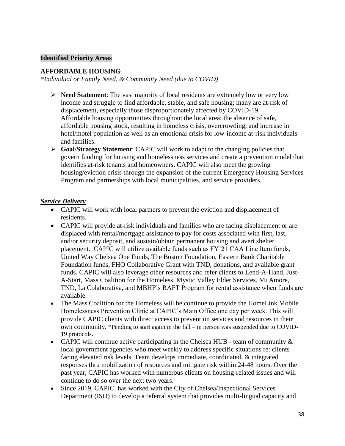#### **Identified Priority Areas**

#### **AFFORDABLE HOUSING**

\**Individual or Family Need, & Community Need (due to COVID)*

- ➢ **Need Statement**: The vast majority of local residents are extremely low or very low income and struggle to find affordable, stable, and safe housing; many are at-risk of displacement, especially those disproportionately affected by COVID-19. Affordable housing opportunities throughout the local area; the absence of safe, affordable housing stock, resulting in homeless crisis, overcrowding, and increase in hotel/motel population as well as an emotional crisis for low-income at-risk individuals and families.
- ➢ **Goal/Strategy Statement**: CAPIC will work to adapt to the changing policies that govern funding for housing and homelessness services and create a prevention model that identifies at-risk tenants and homeowners. CAPIC will also meet the growing housing/eviction crisis through the expansion of the current Emergency Housing Services Program and partnerships with local municipalities, and service providers.

- CAPIC will work with local partners to prevent the eviction and displacement of residents.
- CAPIC will provide at-risk individuals and families who are facing displacement or are displaced with rental/mortgage assistance to pay for costs associated with first, last, and/or security deposit, and sustain/obtain permanent housing and avert shelter placement. CAPIC will utilize available funds such as FY'21 CAA Line Item funds, United Way Chelsea One Funds, The Boston Foundation, Eastern Bank Charitable Foundation funds, FHO Collaborative Grant with TND, donations, and available grant funds. CAPIC will also leverage other resources and refer clients to Lend-A-Hand, Just-A-Start, Mass Coalition for the Homeless, Mystic Valley Elder Services, Mi Amore, TND, La Colaborativa, and MBHP's RAFT Program for rental assistance when funds are available.
- The Mass Coalition for the Homeless will be continue to provide the HomeLink Mobile Homelessness Prevention Clinic at CAPIC's Main Office one day per week. This will provide CAPIC clients with direct access to prevention services and resources in their own community. \*Pending to start again in the fall – in person was suspended due to COVID-19 protocols.
- CAPIC will continue active participating in the Chelsea HUB team of community  $\&$ local government agencies who meet weekly to address specific situations re: clients facing elevated risk levels. Team develops immediate, coordinated, & integrated responses thru mobilization of resources and mitigate risk within 24-48 hours. Over the past year, CAPIC has worked with numerous clients on housing-related issues and will continue to do so over the next two years.
- Since 2019, CAPIC has worked with the City of Chelsea/Inspectional Services Department (ISD) to develop a referral system that provides multi-lingual capacity and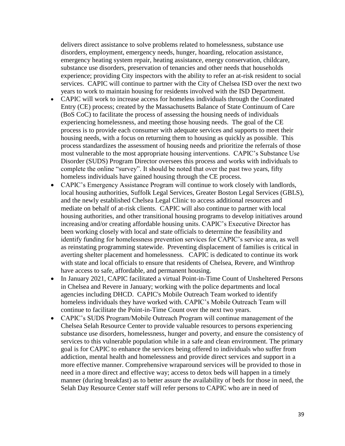delivers direct assistance to solve problems related to homelessness, substance use disorders, employment, emergency needs, hunger, hoarding, relocation assistance, emergency heating system repair, heating assistance, energy conservation, childcare, substance use disorders, preservation of tenancies and other needs that households experience; providing City inspectors with the ability to refer an at-risk resident to social services. CAPIC will continue to partner with the City of Chelsea ISD over the next two years to work to maintain housing for residents involved with the ISD Department.

- CAPIC will work to increase access for homeless individuals through the Coordinated Entry (CE) process; created by the Massachusetts Balance of State Continuum of Care (BoS CoC) to facilitate the process of assessing the housing needs of individuals experiencing homelessness, and meeting those housing needs. The goal of the CE process is to provide each consumer with adequate services and supports to meet their housing needs, with a focus on returning them to housing as quickly as possible. This process standardizes the assessment of housing needs and prioritize the referrals of those most vulnerable to the most appropriate housing interventions. CAPIC's Substance Use Disorder (SUDS) Program Director oversees this process and works with individuals to complete the online "survey". It should be noted that over the past two years, fifty homeless individuals have gained housing through the CE process.
- CAPIC's Emergency Assistance Program will continue to work closely with landlords, local housing authorities, Suffolk Legal Services, Greater Boston Legal Services (GBLS), and the newly established Chelsea Legal Clinic to access additional resources and mediate on behalf of at-risk clients. CAPIC will also continue to partner with local housing authorities, and other transitional housing programs to develop initiatives around increasing and/or creating affordable housing units. CAPIC's Executive Director has been working closely with local and state officials to determine the feasibility and identify funding for homelessness prevention services for CAPIC's service area, as well as reinstating programming statewide. Preventing displacement of families is critical in averting shelter placement and homelessness. CAPIC is dedicated to continue its work with state and local officials to ensure that residents of Chelsea, Revere, and Winthrop have access to safe, affordable, and permanent housing.
- In January 2021, CAPIC facilitated a virtual Point-in-Time Count of Unsheltered Persons in Chelsea and Revere in January; working with the police departments and local agencies including DHCD. CAPIC's Mobile Outreach Team worked to identify homeless individuals they have worked with. CAPIC's Mobile Outreach Team will continue to facilitate the Point-in-Time Count over the next two years.
- CAPIC's SUDS Program/Mobile Outreach Program will continue management of the Chelsea Selah Resource Center to provide valuable resources to persons experiencing substance use disorders, homelessness, hunger and poverty, and ensure the consistency of services to this vulnerable population while in a safe and clean environment. The primary goal is for CAPIC to enhance the services being offered to individuals who suffer from addiction, mental health and homelessness and provide direct services and support in a more effective manner. Comprehensive wraparound services will be provided to those in need in a more direct and effective way; access to detox beds will happen in a timely manner (during breakfast) as to better assure the availability of beds for those in need, the Selah Day Resource Center staff will refer persons to CAPIC who are in need of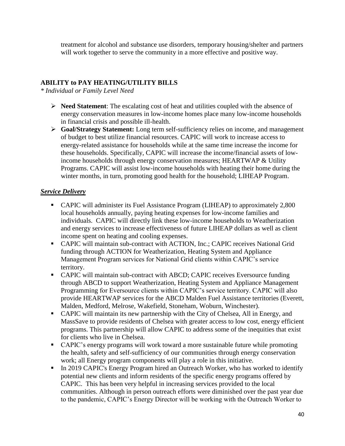treatment for alcohol and substance use disorders, temporary housing/shelter and partners will work together to serve the community in a more effective and positive way.

## **ABILITY to PAY HEATING/UTILITY BILLS**

*\* Individual or Family Level Need* 

- ➢ **Need Statement**: The escalating cost of heat and utilities coupled with the absence of energy conservation measures in low-income homes place many low-income households in financial crisis and possible ill-health.
- ➢ **Goal/Strategy Statement:** Long term self-sufficiency relies on income, and management of budget to best utilize financial resources. CAPIC will work to increase access to energy-related assistance for households while at the same time increase the income for these households. Specifically, CAPIC will increase the income/financial assets of lowincome households through energy conservation measures; HEARTWAP & Utility Programs. CAPIC will assist low-income households with heating their home during the winter months, in turn, promoting good health for the household; LIHEAP Program.

- CAPIC will administer its Fuel Assistance Program (LIHEAP) to approximately 2,800 local households annually, paying heating expenses for low-income families and individuals. CAPIC will directly link these low-income households to Weatherization and energy services to increase effectiveness of future LIHEAP dollars as well as client income spent on heating and cooling expenses.
- CAPIC will maintain sub-contract with ACTION, Inc.; CAPIC receives National Grid funding through ACTION for Weatherization, Heating System and Appliance Management Program services for National Grid clients within CAPIC's service territory.
- **CAPIC will maintain sub-contract with ABCD; CAPIC receives Eversource funding** through ABCD to support Weatherization, Heating System and Appliance Management Programming for Eversource clients within CAPIC's service territory. CAPIC will also provide HEARTWAP services for the ABCD Malden Fuel Assistance territories (Everett, Malden, Medford, Melrose, Wakefield, Stoneham, Woburn, Winchester).
- CAPIC will maintain its new partnership with the City of Chelsea, All in Energy, and MassSave to provide residents of Chelsea with greater access to low cost, energy efficient programs. This partnership will allow CAPIC to address some of the inequities that exist for clients who live in Chelsea.
- CAPIC's energy programs will work toward a more sustainable future while promoting the health, safety and self-sufficiency of our communities through energy conservation work; all Energy program components will play a role in this initiative.
- **II** In 2019 CAPIC's Energy Program hired an Outreach Worker, who has worked to identify potential new clients and inform residents of the specific energy programs offered by CAPIC. This has been very helpful in increasing services provided to the local communities. Although in person outreach efforts were diminished over the past year due to the pandemic, CAPIC's Energy Director will be working with the Outreach Worker to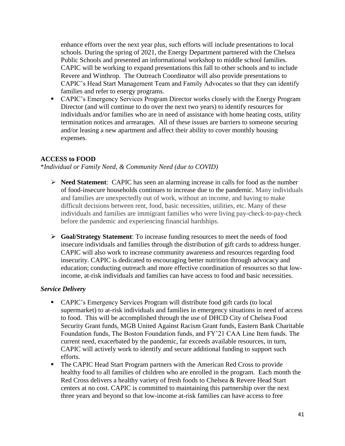enhance efforts over the next year plus, such efforts will include presentations to local schools. During the spring of 2021, the Energy Department partnered with the Chelsea Public Schools and presented an informational workshop to middle school families. CAPIC will be working to expand presentations this fall to other schools and to include Revere and Winthrop. The Outreach Coordinator will also provide presentations to CAPIC's Head Start Management Team and Family Advocates so that they can identify families and refer to energy programs.

■ CAPIC's Emergency Services Program Director works closely with the Energy Program Director (and will continue to do over the next two years) to identify resources for individuals and/or families who are in need of assistance with home heating costs, utility termination notices and arrearages. All of these issues are barriers to someone securing and/or leasing a new apartment and affect their ability to cover monthly housing expenses.

#### **ACCESS to FOOD**

\**Individual or Family Need, & Community Need (due to COVID)*

- ➢ **Need Statement**: CAPIC has seen an alarming increase in calls for food as the number of food-insecure households continues to increase due to the pandemic. Many individuals and families are unexpectedly out of work, without an income, and having to make difficult decisions between rent, food, basic necessities, utilities, etc. Many of these individuals and families are immigrant families who were living pay-check-to-pay-check before the pandemic and experiencing financial hardships.
- ➢ **Goal/Strategy Statement**: To increase funding resources to meet the needs of food insecure individuals and families through the distribution of gift cards to address hunger. CAPIC will also work to increase community awareness and resources regarding food insecurity. CAPIC is dedicated to encouraging better nutrition through advocacy and education; conducting outreach and more effective coordination of resources so that lowincome, at-risk individuals and families can have access to food and basic necessities.

- CAPIC's Emergency Services Program will distribute food gift cards (to local supermarket) to at-risk individuals and families in emergency situations in need of access to food. This will be accomplished through the use of DHCD City of Chelsea Food Security Grant funds, MGB United Against Racism Grant funds, Eastern Bank Charitable Foundation funds, The Boston Foundation funds, and FY'21 CAA Line Item funds. The current need, exacerbated by the pandemic, far exceeds available resources, in turn, CAPIC will actively work to identify and secure additional funding to support such efforts.
- The CAPIC Head Start Program partners with the American Red Cross to provide healthy food to all families of children who are enrolled in the program. Each month the Red Cross delivers a healthy variety of fresh foods to Chelsea & Revere Head Start centers at no cost. CAPIC is committed to maintaining this partnership over the next three years and beyond so that low-income at-risk families can have access to free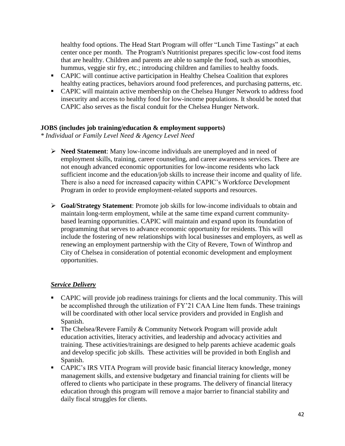healthy food options. The Head Start Program will offer "Lunch Time Tastings" at each center once per month. The Program's Nutritionist prepares specific low-cost food items that are healthy. Children and parents are able to sample the food, such as smoothies, hummus, veggie stir fry, etc.; introducing children and families to healthy foods.

- CAPIC will continue active participation in Healthy Chelsea Coalition that explores healthy eating practices, behaviors around food preferences, and purchasing patterns, etc.
- CAPIC will maintain active membership on the Chelsea Hunger Network to address food insecurity and access to healthy food for low-income populations. It should be noted that CAPIC also serves as the fiscal conduit for the Chelsea Hunger Network.

#### **JOBS (includes job training/education & employment supports)**

*\* Individual or Family Level Need & Agency Level Need*

- ➢ **Need Statement**: Many low-income individuals are unemployed and in need of employment skills, training, career counseling, and career awareness services. There are not enough advanced economic opportunities for low-income residents who lack sufficient income and the education/job skills to increase their income and quality of life. There is also a need for increased capacity within CAPIC's Workforce Development Program in order to provide employment-related supports and resources.
- ➢ **Goal/Strategy Statement**: Promote job skills for low-income individuals to obtain and maintain long-term employment, while at the same time expand current communitybased learning opportunities. CAPIC will maintain and expand upon its foundation of programming that serves to advance economic opportunity for residents. This will include the fostering of new relationships with local businesses and employers, as well as renewing an employment partnership with the City of Revere, Town of Winthrop and City of Chelsea in consideration of potential economic development and employment opportunities.

- CAPIC will provide job readiness trainings for clients and the local community. This will be accomplished through the utilization of FY'21 CAA Line Item funds. These trainings will be coordinated with other local service providers and provided in English and Spanish.
- **The Chelsea/Revere Family & Community Network Program will provide adult** education activities, literacy activities, and leadership and advocacy activities and training. These activities/trainings are designed to help parents achieve academic goals and develop specific job skills. These activities will be provided in both English and Spanish.
- CAPIC's IRS VITA Program will provide basic financial literacy knowledge, money management skills, and extensive budgetary and financial training for clients will be offered to clients who participate in these programs. The delivery of financial literacy education through this program will remove a major barrier to financial stability and daily fiscal struggles for clients.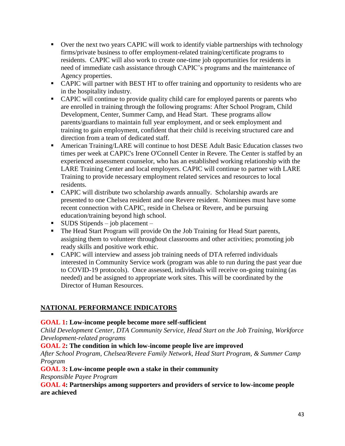- Over the next two years CAPIC will work to identify viable partnerships with technology firms/private business to offer employment-related training/certificate programs to residents. CAPIC will also work to create one-time job opportunities for residents in need of immediate cash assistance through CAPIC's programs and the maintenance of Agency properties.
- CAPIC will partner with BEST HT to offer training and opportunity to residents who are in the hospitality industry.
- CAPIC will continue to provide quality child care for employed parents or parents who are enrolled in training through the following programs: After School Program, Child Development, Center, Summer Camp, and Head Start. These programs allow parents/guardians to maintain full year employment, and or seek employment and training to gain employment, confident that their child is receiving structured care and direction from a team of dedicated staff.
- **EXECUTE:** American Training/LARE will continue to host DESE Adult Basic Education classes two times per week at CAPIC's Irene O'Connell Center in Revere. The Center is staffed by an experienced assessment counselor, who has an established working relationship with the LARE Training Center and local employers. CAPIC will continue to partner with LARE Training to provide necessary employment related services and resources to local residents.
- CAPIC will distribute two scholarship awards annually. Scholarship awards are presented to one Chelsea resident and one Revere resident. Nominees must have some recent connection with CAPIC, reside in Chelsea or Revere, and be pursuing education/training beyond high school.
- $\blacksquare$  SUDS Stipends job placement –
- The Head Start Program will provide On the Job Training for Head Start parents, assigning them to volunteer throughout classrooms and other activities; promoting job ready skills and positive work ethic.
- CAPIC will interview and assess job training needs of DTA referred individuals interested in Community Service work (program was able to run during the past year due to COVID-19 protocols). Once assessed, individuals will receive on-going training (as needed) and be assigned to appropriate work sites. This will be coordinated by the Director of Human Resources.

# **NATIONAL PERFORMANCE INDICATORS**

## **GOAL 1: Low-income people become more self-sufficient**

*Child Development Center, DTA Community Service, Head Start on the Job Training, Workforce Development-related programs*

**GOAL 2: The condition in which low-income people live are improved**

*After School Program, Chelsea/Revere Family Network, Head Start Program, & Summer Camp Program*

## **GOAL 3: Low-income people own a stake in their community**

*Responsible Payee Program*

**GOAL 4: Partnerships among supporters and providers of service to low-income people are achieved**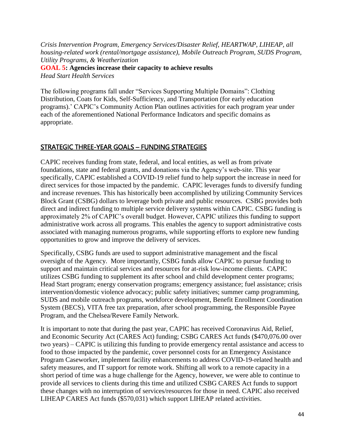*Crisis Intervention Program, Emergency Services/Disaster Relief, HEARTWAP, LIHEAP, all housing-related work (rental/mortgage assistance), Mobile Outreach Program, SUDS Program, Utility Programs, & Weatherization* **GOAL 5: Agencies increase their capacity to achieve results** *Head Start Health Services*

The following programs fall under "Services Supporting Multiple Domains": Clothing Distribution, Coats for Kids, Self-Sufficiency, and Transportation (for early education programs).' CAPIC's Community Action Plan outlines activities for each program year under each of the aforementioned National Performance Indicators and specific domains as appropriate.

## STRATEGIC THREE-YEAR GOALS – FUNDING STRATEGIES

CAPIC receives funding from state, federal, and local entities, as well as from private foundations, state and federal grants, and donations via the Agency's web-site. This year specifically, CAPIC established a COVID-19 relief fund to help support the increase in need for direct services for those impacted by the pandemic. CAPIC leverages funds to diversify funding and increase revenues. This has historically been accomplished by utilizing Community Services Block Grant (CSBG) dollars to leverage both private and public resources. CSBG provides both direct and indirect funding to multiple service delivery systems within CAPIC. CSBG funding is approximately 2% of CAPIC's overall budget. However, CAPIC utilizes this funding to support administrative work across all programs. This enables the agency to support administrative costs associated with managing numerous programs, while supporting efforts to explore new funding opportunities to grow and improve the delivery of services.

Specifically, CSBG funds are used to support administrative management and the fiscal oversight of the Agency. More importantly, CSBG funds allow CAPIC to pursue funding to support and maintain critical services and resources for at-risk low-income clients. CAPIC utilizes CSBG funding to supplement its after school and child development center programs; Head Start program; energy conservation programs; emergency assistance; fuel assistance; crisis intervention/domestic violence advocacy; public safety initiatives; summer camp programming, SUDS and mobile outreach programs, workforce development, Benefit Enrollment Coordination System (BECS), VITA free tax preparation, after school programming, the Responsible Payee Program, and the Chelsea/Revere Family Network.

It is important to note that during the past year, CAPIC has received Coronavirus Aid, Relief, and Economic Security Act (CARES Act) funding; CSBG CARES Act funds (\$470,076.00 over two years) – CAPIC is utilizing this funding to provide emergency rental assistance and access to food to those impacted by the pandemic, cover personnel costs for an Emergency Assistance Program Caseworker, implement facility enhancements to address COVID-19-related health and safety measures, and IT support for remote work. Shifting all work to a remote capacity in a short period of time was a huge challenge for the Agency, however, we were able to continue to provide all services to clients during this time and utilized CSBG CARES Act funds to support these changes with no interruption of services/resources for those in need. CAPIC also received LIHEAP CARES Act funds (\$570,031) which support LIHEAP related activities.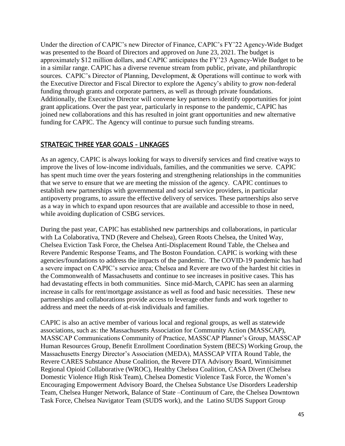Under the direction of CAPIC's new Director of Finance, CAPIC's FY'22 Agency-Wide Budget was presented to the Board of Directors and approved on June 23, 2021. The budget is approximately \$12 million dollars, and CAPIC anticipates the FY'23 Agency-Wide Budget to be in a similar range. CAPIC has a diverse revenue stream from public, private, and philanthropic sources. CAPIC's Director of Planning, Development, & Operations will continue to work with the Executive Director and Fiscal Director to explore the Agency's ability to grow non-federal funding through grants and corporate partners, as well as through private foundations. Additionally, the Executive Director will convene key partners to identify opportunities for joint grant applications. Over the past year, particularly in response to the pandemic, CAPIC has joined new collaborations and this has resulted in joint grant opportunities and new alternative funding for CAPIC. The Agency will continue to pursue such funding streams.

## STRATEGIC THREE YEAR GOALS - LINKAGES

As an agency, CAPIC is always looking for ways to diversify services and find creative ways to improve the lives of low-income individuals, families, and the communities we serve. CAPIC has spent much time over the years fostering and strengthening relationships in the communities that we serve to ensure that we are meeting the mission of the agency. CAPIC continues to establish new partnerships with governmental and social service providers, in particular antipoverty programs, to assure the effective delivery of services. These partnerships also serve as a way in which to expand upon resources that are available and accessible to those in need, while avoiding duplication of CSBG services.

During the past year, CAPIC has established new partnerships and collaborations, in particular with La Colaborativa, TND (Revere and Chelsea), Green Roots Chelsea, the United Way, Chelsea Eviction Task Force, the Chelsea Anti-Displacement Round Table, the Chelsea and Revere Pandemic Response Teams, and The Boston Foundation. CAPIC is working with these agencies/foundations to address the impacts of the pandemic. The COVID-19 pandemic has had a severe impact on CAPIC's service area; Chelsea and Revere are two of the hardest hit cities in the Commonwealth of Massachusetts and continue to see increases in positive cases. This has had devastating effects in both communities. Since mid-March, CAPIC has seen an alarming increase in calls for rent/mortgage assistance as well as food and basic necessities. These new partnerships and collaborations provide access to leverage other funds and work together to address and meet the needs of at-risk individuals and families.

CAPIC is also an active member of various local and regional groups, as well as statewide associations, such as: the Massachusetts Association for Community Action (MASSCAP), MASSCAP Communications Community of Practice, MASSCAP Planner's Group, MASSCAP Human Resources Group, Benefit Enrollment Coordination System (BECS) Working Group, the Massachusetts Energy Director's Association (MEDA), MASSCAP VITA Round Table, the Revere CARES Substance Abuse Coalition, the Revere DTA Advisory Board, Winnisimmet Regional Opioid Collaborative (WROC), Healthy Chelsea Coalition, CASA Divert (Chelsea Domestic Violence High Risk Team), Chelsea Domestic Violence Task Force, the Women's Encouraging Empowerment Advisory Board, the Chelsea Substance Use Disorders Leadership Team, Chelsea Hunger Network, Balance of State –Continuum of Care, the Chelsea Downtown Task Force, Chelsea Navigator Team (SUDS work), and the Latino SUDS Support Group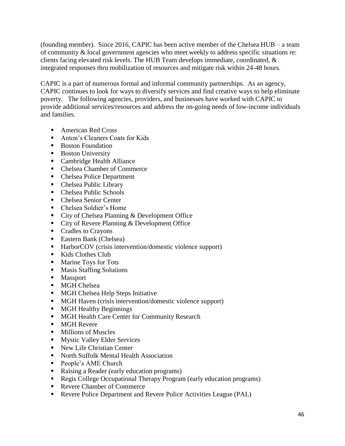(founding member). Since 2016, CAPIC has been active member of the Chelsea HUB – a team of community & local government agencies who meet weekly to address specific situations re: clients facing elevated risk levels. The HUB Team develops immediate, coordinated, & integrated responses thru mobilization of resources and mitigate risk within 24-48 hours.

CAPIC is a part of numerous formal and informal community partnerships. As an agency, CAPIC continues to look for ways to diversify services and find creative ways to help eliminate poverty. The following agencies, providers, and businesses have worked with CAPIC to provide additional services/resources and address the on-going needs of low-income individuals and families.

- American Red Cross
- Anton's Cleaners Coats for Kids
- Boston Foundation
- Boston University
- Cambridge Health Alliance
- Chelsea Chamber of Commerce
- Chelsea Police Department
- Chelsea Public Library
- Chelsea Public Schools
- Chelsea Senior Center
- Chelsea Soldier's Home
- City of Chelsea Planning & Development Office
- City of Revere Planning & Development Office
- Cradles to Crayons
- Eastern Bank (Chelsea)
- HarborCOV (crisis intervention/domestic violence support)
- Kids Clothes Club
- Marine Toys for Tots
- Masis Staffing Solutions
- Massport
- MGH Chelsea
- MGH Chelsea Help Steps Initiative
- MGH Haven (crisis intervention/domestic violence support)
- MGH Healthy Beginnings
- MGH Health Care Center for Community Research
- MGH Revere
- Millions of Muscles
- Mystic Valley Elder Services
- New Life Christian Center
- North Suffolk Mental Health Association
- People's AME Church
- Raising a Reader (early education programs)
- Regis College Occupational Therapy Program (early education programs)
- Revere Chamber of Commerce
- Revere Police Department and Revere Police Activities League (PAL)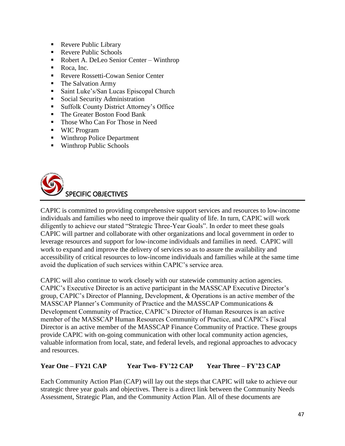- Revere Public Library
- Revere Public Schools
- Robert A. DeLeo Senior Center Winthrop
- Roca, Inc.
- Revere Rossetti-Cowan Senior Center
- The Salvation Army
- Saint Luke's/San Lucas Episcopal Church
- Social Security Administration
- Suffolk County District Attorney's Office
- The Greater Boston Food Bank
- Those Who Can For Those in Need
- WIC Program
- Winthrop Police Department
- Winthrop Public Schools



CAPIC is committed to providing comprehensive support services and resources to low-income individuals and families who need to improve their quality of life. In turn, CAPIC will work diligently to achieve our stated "Strategic Three-Year Goals". In order to meet these goals CAPIC will partner and collaborate with other organizations and local government in order to leverage resources and support for low-income individuals and families in need. CAPIC will work to expand and improve the delivery of services so as to assure the availability and accessibility of critical resources to low-income individuals and families while at the same time avoid the duplication of such services within CAPIC's service area.

CAPIC will also continue to work closely with our statewide community action agencies. CAPIC's Executive Director is an active participant in the MASSCAP Executive Director's group, CAPIC's Director of Planning, Development, & Operations is an active member of the MASSCAP Planner's Community of Practice and the MASSCAP Communications & Development Community of Practice, CAPIC's Director of Human Resources is an active member of the MASSCAP Human Resources Community of Practice, and CAPIC's Fiscal Director is an active member of the MASSCAP Finance Community of Practice. These groups provide CAPIC with on-going communication with other local community action agencies, valuable information from local, state, and federal levels, and regional approaches to advocacy and resources.

## **Year One – FY21 CAP Year Two- FY'22 CAP Year Three – FY'23 CAP**

Each Community Action Plan (CAP) will lay out the steps that CAPIC will take to achieve our strategic three year goals and objectives. There is a direct link between the Community Needs Assessment, Strategic Plan, and the Community Action Plan. All of these documents are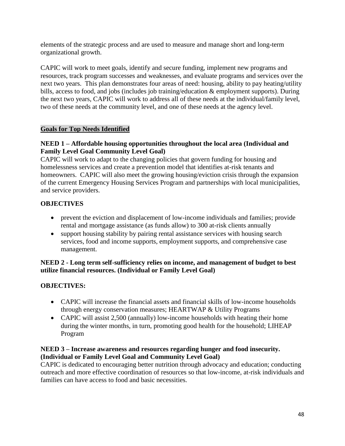elements of the strategic process and are used to measure and manage short and long-term organizational growth.

CAPIC will work to meet goals, identify and secure funding, implement new programs and resources, track program successes and weaknesses, and evaluate programs and services over the next two years. This plan demonstrates four areas of need: housing, ability to pay heating/utility bills, access to food, and jobs (includes job training/education & employment supports). During the next two years, CAPIC will work to address all of these needs at the individual/family level, two of these needs at the community level, and one of these needs at the agency level.

## **Goals for Top Needs Identified**

## **NEED 1 – Affordable housing opportunities throughout the local area (Individual and Family Level Goal Community Level Goal)**

CAPIC will work to adapt to the changing policies that govern funding for housing and homelessness services and create a prevention model that identifies at-risk tenants and homeowners. CAPIC will also meet the growing housing/eviction crisis through the expansion of the current Emergency Housing Services Program and partnerships with local municipalities, and service providers.

## **OBJECTIVES**

- prevent the eviction and displacement of low-income individuals and families; provide rental and mortgage assistance (as funds allow) to 300 at-risk clients annually
- support housing stability by pairing rental assistance services with housing search services, food and income supports, employment supports, and comprehensive case management.

## **NEED 2 - Long term self-sufficiency relies on income, and management of budget to best utilize financial resources. (Individual or Family Level Goal)**

## **OBJECTIVES:**

- CAPIC will increase the financial assets and financial skills of low-income households through energy conservation measures; HEARTWAP & Utility Programs
- CAPIC will assist 2,500 (annually) low-income households with heating their home during the winter months, in turn, promoting good health for the household; LIHEAP Program

## **NEED 3 – Increase awareness and resources regarding hunger and food insecurity. (Individual or Family Level Goal and Community Level Goal)**

CAPIC is dedicated to encouraging better nutrition through advocacy and education; conducting outreach and more effective coordination of resources so that low-income, at-risk individuals and families can have access to food and basic necessities.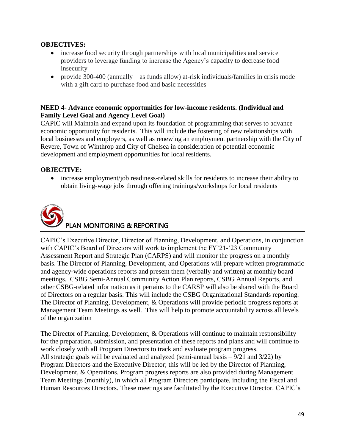#### **OBJECTIVES:**

- increase food security through partnerships with local municipalities and service providers to leverage funding to increase the Agency's capacity to decrease food insecurity
- provide 300-400 (annually as funds allow) at-risk individuals/families in crisis mode with a gift card to purchase food and basic necessities

#### **NEED 4- Advance economic opportunities for low-income residents. (Individual and Family Level Goal and Agency Level Goal)**

CAPIC will Maintain and expand upon its foundation of programming that serves to advance economic opportunity for residents. This will include the fostering of new relationships with local businesses and employers, as well as renewing an employment partnership with the City of Revere, Town of Winthrop and City of Chelsea in consideration of potential economic development and employment opportunities for local residents.

## **OBJECTIVE:**

• increase employment/job readiness-related skills for residents to increase their ability to obtain living-wage jobs through offering trainings/workshops for local residents



CAPIC's Executive Director, Director of Planning, Development, and Operations, in conjunction with CAPIC's Board of Directors will work to implement the FY'21-'23 Community Assessment Report and Strategic Plan (CARPS) and will monitor the progress on a monthly basis. The Director of Planning, Development, and Operations will prepare written programmatic and agency-wide operations reports and present them (verbally and written) at monthly board meetings. CSBG Semi-Annual Community Action Plan reports, CSBG Annual Reports, and other CSBG-related information as it pertains to the CARSP will also be shared with the Board of Directors on a regular basis. This will include the CSBG Organizational Standards reporting. The Director of Planning, Development, & Operations will provide periodic progress reports at Management Team Meetings as well. This will help to promote accountability across all levels of the organization

The Director of Planning, Development, & Operations will continue to maintain responsibility for the preparation, submission, and presentation of these reports and plans and will continue to work closely with all Program Directors to track and evaluate program progress. All strategic goals will be evaluated and analyzed (semi-annual basis – 9/21 and 3/22) by Program Directors and the Executive Director; this will be led by the Director of Planning, Development, & Operations. Program progress reports are also provided during Management Team Meetings (monthly), in which all Program Directors participate, including the Fiscal and Human Resources Directors. These meetings are facilitated by the Executive Director. CAPIC's